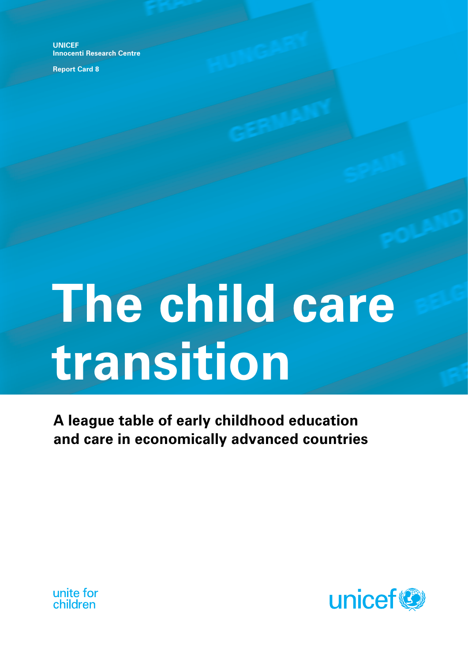**UNICEF Innocenti Research Centre**

**Report Card 8**

# **The child care transition**

**A league table of early childhood education and care in economically advanced countries**



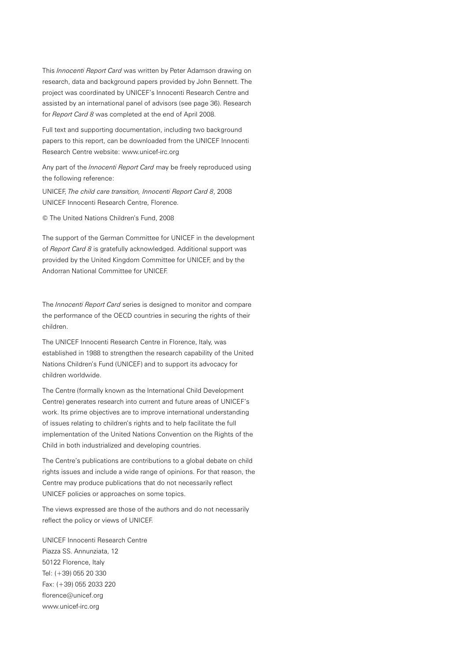This *Innocenti Report Card* was written by Peter Adamson drawing on research, data and background papers provided by John Bennett. The project was coordinated by UNICEF's Innocenti Research Centre and assisted by an international panel of advisors (see page 36). Research for *Report Card 8* was completed at the end of April 2008.

Full text and supporting documentation, including two background papers to this report, can be downloaded from the UNICEF Innocenti Research Centre website: www.unicef-irc.org

Any part of the *Innocenti Report Card* may be freely reproduced using the following reference:

UNICEF, *The child care transition, Innocenti Report Card 8*, 2008 UNICEF Innocenti Research Centre, Florence.

© The United Nations Children's Fund, 2008

The support of the German Committee for UNICEF in the development of *Report Card 8* is gratefully acknowledged. Additional support was provided by the United Kingdom Committee for UNICEF, and by the Andorran National Committee for UNICEF.

The *Innocenti Report Card* series is designed to monitor and compare the performance of the OECD countries in securing the rights of their children.

The UNICEF Innocenti Research Centre in Florence, Italy, was established in 1988 to strengthen the research capability of the United Nations Children's Fund (UNICEF) and to support its advocacy for children worldwide.

The Centre (formally known as the International Child Development Centre) generates research into current and future areas of UNICEF's work. Its prime objectives are to improve international understanding of issues relating to children's rights and to help facilitate the full implementation of the United Nations Convention on the Rights of the Child in both industrialized and developing countries.

The Centre's publications are contributions to a global debate on child rights issues and include a wide range of opinions. For that reason, the Centre may produce publications that do not necessarily reflect UNICEF policies or approaches on some topics.

The views expressed are those of the authors and do not necessarily reflect the policy or views of UNICEF.

UNICEF Innocenti Research Centre Piazza SS. Annunziata, 12 50122 Florence, Italy Tel: (+39) 055 20 330 Fax: (+39) 055 2033 220 florence@unicef.org www.unicef-irc.org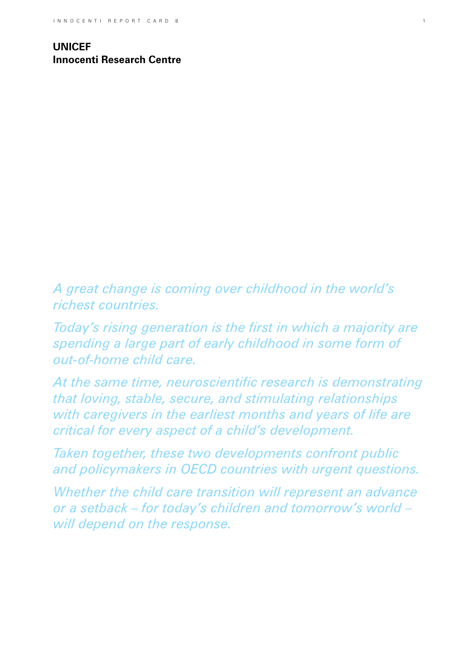**UNICEF Innocenti Research Centre**

*A great change is coming over childhood in the world's richest countries.* 

*Today's rising generation is the first in which a majority are spending a large part of early childhood in some form of out-of-home child care.*

*At the same time, neuroscientific research is demonstrating that loving, stable, secure, and stimulating relationships with caregivers in the earliest months and years of life are critical for every aspect of a child's development.* 

*Taken together, these two developments confront public and policymakers in OECD countries with urgent questions.* 

*Whether the child care transition will represent an advance or a setback – for today's children and tomorrow's world – will depend on the response.*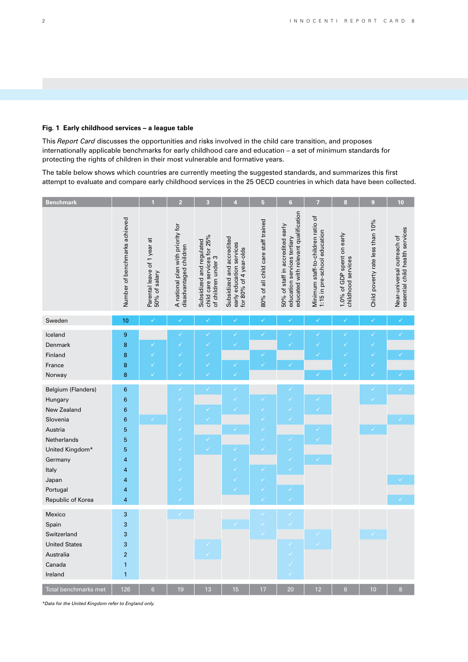## **Fig. 1 Early childhood services – a league table**

This *Report Card* discusses the opportunities and risks involved in the child care transition, and proposes internationally applicable benchmarks for early childhood care and education – a set of minimum standards for protecting the rights of children in their most vulnerable and formative years.

The table below shows which countries are currently meeting the suggested standards, and summarizes this first attempt to evaluate and compare early childhood services in the 25 OECD countries in which data have been collected.

| <b>Benchmark</b>          |                               | 1                                            | $\overline{2}$                                              | 3                                                                              | 4                                                                               | $\overline{5}$                      | $6\phantom{a}$                                                                                          | 7                                                                  | $\bf{8}$                                         | $\boldsymbol{9}$                 | 10                                                            |
|---------------------------|-------------------------------|----------------------------------------------|-------------------------------------------------------------|--------------------------------------------------------------------------------|---------------------------------------------------------------------------------|-------------------------------------|---------------------------------------------------------------------------------------------------------|--------------------------------------------------------------------|--------------------------------------------------|----------------------------------|---------------------------------------------------------------|
|                           | Number of benchmarks achieved | Parental leave of 1 year at<br>50% of salary | A national plan with priority for<br>disadvantaged children | child care services for 25%<br>Subsidized and regulated<br>of children under 3 | Subsidized and accredited<br>early education services<br>for 80% of 4 year-olds | 80% of all child care staff trained | educated with relevant qualification<br>50% of staff in accredited early<br>education services tertiary | Minimum staff-to-children ratio of<br>1:15 in pre-school education | 1.0% of GDP spent on early<br>childhood services | Child poverty rate less than 10% | essential child health services<br>Near-universal outreach of |
| Sweden                    | 10                            | $\checkmark$                                 | $\checkmark$                                                | $\checkmark$                                                                   | $\checkmark$                                                                    | $\checkmark$                        | ✓                                                                                                       | $\checkmark$                                                       | $\checkmark$                                     | $\checkmark$                     | $\checkmark$                                                  |
|                           |                               |                                              |                                                             |                                                                                |                                                                                 | ✓                                   |                                                                                                         |                                                                    |                                                  |                                  |                                                               |
| Iceland                   | $\boldsymbol{9}$              |                                              |                                                             | ✓<br>✓                                                                         |                                                                                 |                                     |                                                                                                         | ✓                                                                  |                                                  | ✓                                |                                                               |
| Denmark                   | 8                             |                                              |                                                             |                                                                                | V                                                                               | ✓                                   |                                                                                                         |                                                                    |                                                  | ✓                                |                                                               |
| Finland<br>France         | 8<br>8                        |                                              |                                                             | ✓                                                                              | √                                                                               |                                     | V                                                                                                       |                                                                    | ✓                                                |                                  |                                                               |
|                           | 8                             |                                              |                                                             |                                                                                |                                                                                 |                                     |                                                                                                         |                                                                    |                                                  |                                  |                                                               |
| Norway                    |                               |                                              |                                                             |                                                                                |                                                                                 |                                     |                                                                                                         |                                                                    |                                                  |                                  |                                                               |
| <b>Belgium (Flanders)</b> | $\boldsymbol{6}$              |                                              | $\checkmark$                                                | $\checkmark$                                                                   | V                                                                               |                                     | V                                                                                                       |                                                                    |                                                  | $\checkmark$                     | $\checkmark$                                                  |
| Hungary                   | $\bf 6$                       |                                              | ✓                                                           |                                                                                |                                                                                 |                                     | V                                                                                                       |                                                                    |                                                  |                                  |                                                               |
| New Zealand               | $\bf 6$                       |                                              | $\checkmark$                                                |                                                                                |                                                                                 |                                     | $\checkmark$                                                                                            |                                                                    |                                                  |                                  |                                                               |
| Slovenia                  | $6\phantom{1}6$               | ✓                                            | ✓                                                           |                                                                                |                                                                                 |                                     | V                                                                                                       |                                                                    |                                                  |                                  |                                                               |
| Austria                   | 5                             |                                              | ✓                                                           |                                                                                | $\checkmark$                                                                    |                                     |                                                                                                         | ✓                                                                  |                                                  | ✓                                |                                                               |
| Netherlands               | 5                             |                                              |                                                             | ✓                                                                              |                                                                                 |                                     |                                                                                                         | $\checkmark$                                                       |                                                  |                                  |                                                               |
| United Kingdom*           | 5                             |                                              | ✓                                                           |                                                                                |                                                                                 |                                     |                                                                                                         |                                                                    |                                                  |                                  |                                                               |
| Germany                   | 4                             |                                              |                                                             |                                                                                |                                                                                 |                                     |                                                                                                         |                                                                    |                                                  |                                  |                                                               |
| Italy                     | $\overline{4}$                |                                              |                                                             |                                                                                |                                                                                 |                                     |                                                                                                         |                                                                    |                                                  |                                  |                                                               |
| Japan                     | $\overline{\mathbf{4}}$       |                                              |                                                             |                                                                                | V                                                                               |                                     |                                                                                                         |                                                                    |                                                  |                                  |                                                               |
| Portugal                  | 4                             |                                              | ✓                                                           |                                                                                | V                                                                               |                                     |                                                                                                         |                                                                    |                                                  |                                  |                                                               |
| Republic of Korea         | $\overline{\mathbf{4}}$       |                                              |                                                             |                                                                                |                                                                                 | ✓                                   |                                                                                                         |                                                                    |                                                  |                                  |                                                               |
| Mexico                    | $\sqrt{3}$                    |                                              | $\checkmark$                                                |                                                                                |                                                                                 |                                     | V                                                                                                       |                                                                    |                                                  |                                  |                                                               |
| Spain                     | 3                             |                                              |                                                             |                                                                                |                                                                                 | ✓                                   | $\checkmark$                                                                                            |                                                                    |                                                  |                                  |                                                               |
| Switzerland               | 3                             |                                              |                                                             |                                                                                |                                                                                 |                                     |                                                                                                         | ✓                                                                  |                                                  |                                  |                                                               |
| <b>United States</b>      | 3                             |                                              |                                                             | $\checkmark$                                                                   |                                                                                 |                                     |                                                                                                         | $\checkmark$                                                       |                                                  |                                  |                                                               |
| Australia                 | $\overline{2}$                |                                              |                                                             |                                                                                |                                                                                 |                                     |                                                                                                         |                                                                    |                                                  |                                  |                                                               |
| Canada                    | $\mathbf{1}$                  |                                              |                                                             |                                                                                |                                                                                 |                                     | $\checkmark$                                                                                            |                                                                    |                                                  |                                  |                                                               |
| Ireland                   | $\mathbf{1}$                  |                                              |                                                             |                                                                                |                                                                                 |                                     |                                                                                                         |                                                                    |                                                  |                                  |                                                               |
| Total benchmarks met      | 126                           | $6\phantom{a}$                               | 19                                                          | 13                                                                             | 15                                                                              | 17                                  | 20                                                                                                      | 12                                                                 | $6\phantom{a}$                                   | 10                               | 8                                                             |

*\*Data for the United Kingdom refer to England only.*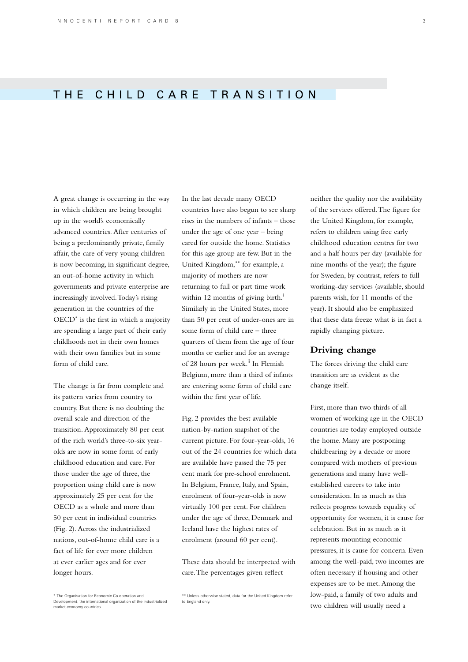# THE CHILD CARE TRANSITION

A great change is occurring in the way in which children are being brought up in the world's economically advanced countries. After centuries of being a predominantly private, family affair, the care of very young children is now becoming, in significant degree, an out-of-home activity in which governments and private enterprise are increasingly involved. Today's rising generation in the countries of the OECD\* is the first in which a majority are spending a large part of their early childhoods not in their own homes with their own families but in some form of child care.

The change is far from complete and its pattern varies from country to country. But there is no doubting the overall scale and direction of the transition. Approximately 80 per cent of the rich world's three-to-six yearolds are now in some form of early childhood education and care. For those under the age of three, the proportion using child care is now approximately 25 per cent for the OECD as a whole and more than 50 per cent in individual countries (Fig. 2). Across the industrialized nations, out-of-home child care is a fact of life for ever more children at ever earlier ages and for ever longer hours.

\* The Organisation for Economic Co-operation and Development, the international organization of the industrialized

market-economy countries

In the last decade many OECD countries have also begun to see sharp rises in the numbers of infants – those under the age of one year – being cared for outside the home. Statistics for this age group are few. But in the United Kingdom,\*\* for example, a majority of mothers are now returning to full or part time work within 12 months of giving birth.<sup> $\dot{i}$ </sup> Similarly in the United States, more than 50 per cent of under-ones are in some form of child care – three quarters of them from the age of four months or earlier and for an average of 28 hours per week.<sup>ii</sup> In Flemish Belgium, more than a third of infants are entering some form of child care within the first year of life.

Fig. 2 provides the best available nation-by-nation snapshot of the current picture. For four-year-olds, 16 out of the 24 countries for which data are available have passed the 75 per cent mark for pre-school enrolment. In Belgium, France, Italy, and Spain, enrolment of four-year-olds is now virtually 100 per cent. For children under the age of three, Denmark and Iceland have the highest rates of enrolment (around 60 per cent).

These data should be interpreted with care. The percentages given reflect

neither the quality nor the availability of the services offered. The figure for the United Kingdom, for example, refers to children using free early childhood education centres for two and a half hours per day (available for nine months of the year); the figure for Sweden, by contrast, refers to full working-day services (available, should parents wish, for 11 months of the year). It should also be emphasized that these data freeze what is in fact a rapidly changing picture.

## **Driving change**

The forces driving the child care transition are as evident as the change itself.

First, more than two thirds of all women of working age in the OECD countries are today employed outside the home. Many are postponing childbearing by a decade or more compared with mothers of previous generations and many have wellestablished careers to take into consideration. In as much as this reflects progress towards equality of opportunity for women, it is cause for celebration. But in as much as it represents mounting economic pressures, it is cause for concern. Even among the well-paid, two incomes are often necessary if housing and other expenses are to be met. Among the low-paid, a family of two adults and two children will usually need a

<sup>\*\*</sup> Unless otherwise stated, data for the United Kingdom refer to England only.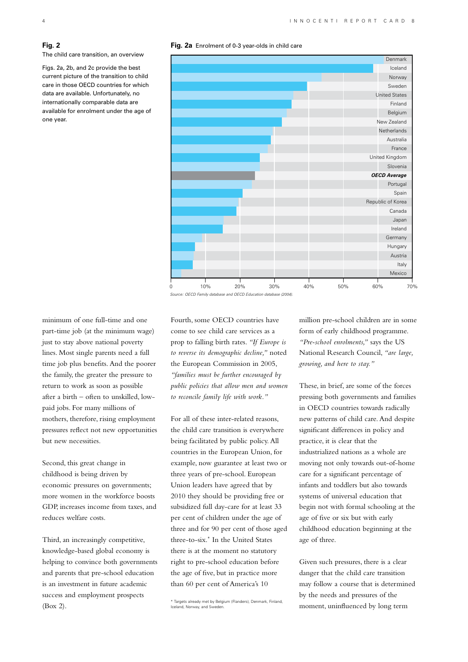## **Fig. 2**

The child care transition, an overview

Figs. 2a, 2b, and 2c provide the best current picture of the transition to child care in those OECD countries for which data are available. Unfortunately, no internationally comparable data are available for enrolment under the age of one year.

#### **Fig. 2a** Enrolment of 0-3 year-olds in child care



*Date: Text to be confirmed Source: OECD Family database and OECD Education database (2004).*

minimum of one full-time and one part-time job (at the minimum wage) just to stay above national poverty lines. Most single parents need a full time job plus benefits. And the poorer the family, the greater the pressure to return to work as soon as possible after a birth – often to unskilled, lowpaid jobs. For many millions of mothers, therefore, rising employment pressures reflect not new opportunities but new necessities.

Second, this great change in childhood is being driven by economic pressures on governments; more women in the workforce boosts GDP, increases income from taxes, and reduces welfare costs.

Third, an increasingly competitive, knowledge-based global economy is helping to convince both governments and parents that pre-school education is an investment in future academic success and employment prospects (Box 2).

Fourth, some OECD countries have come to see child care services as a prop to falling birth rates. *"If Europe is to reverse its demographic decline,"* noted the European Commission in 2005, *"families must be further encouraged by public policies that allow men and women to reconcile family life with work."*

For all of these inter-related reasons, the child care transition is everywhere being facilitated by public policy. All countries in the European Union, for example, now guarantee at least two or three years of pre-school. European Union leaders have agreed that by 2010 they should be providing free or subsidized full day-care for at least 33 per cent of children under the age of three and for 90 per cent of those aged three-to-six.\* In the United States there is at the moment no statutory right to pre-school education before the age of five, but in practice more than 60 per cent of America's 10

million pre-school children are in some form of early childhood programme. *"Pre-school enrolments,"* says the US National Research Council, *"are large, growing, and here to stay."*

These, in brief, are some of the forces pressing both governments and families in OECD countries towards radically new patterns of child care. And despite significant differences in policy and practice, it is clear that the industrialized nations as a whole are moving not only towards out-of-home care for a significant percentage of infants and toddlers but also towards systems of universal education that begin not with formal schooling at the age of five or six but with early childhood education beginning at the age of three.

Given such pressures, there is a clear danger that the child care transition may follow a course that is determined by the needs and pressures of the moment, uninfluenced by long term

<sup>\*</sup> Targets already met by Belgium (Flanders), Denmark, Finland, Iceland, Norway, and Sweden.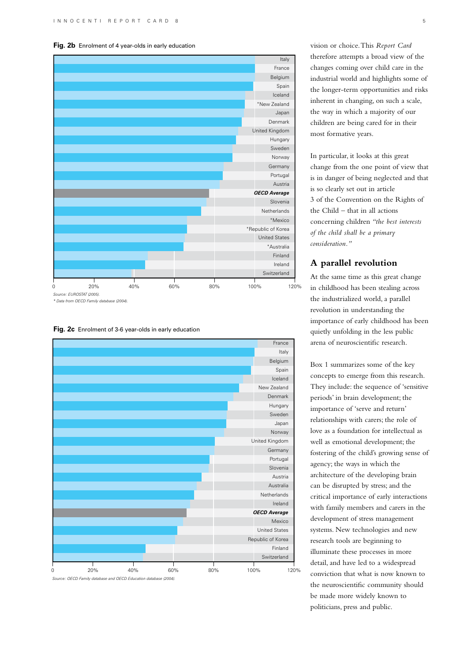## **Fig. 2b** Enrolment of 4 year-olds in early education



**Fig. 2c** Enrolment of 3-6 year-olds in early education



*Date: Text to be confirmed Source: OECD Family database and OECD Education database (2004).*

vision or choice. This *Report Card* therefore attempts a broad view of the changes coming over child care in the industrial world and highlights some of the longer-term opportunities and risks inherent in changing, on such a scale, the way in which a majority of our children are being cared for in their most formative years.

In particular, it looks at this great change from the one point of view that is in danger of being neglected and that is so clearly set out in article 3 of the Convention on the Rights of the Child – that in all actions concerning children *"the best interests of the child shall be a primary consideration."*

# **A parallel revolution**

At the same time as this great change in childhood has been stealing across the industrialized world, a parallel revolution in understanding the importance of early childhood has been quietly unfolding in the less public arena of neuroscientific research.

Box 1 summarizes some of the key concepts to emerge from this research. They include: the sequence of 'sensitive periods' in brain development; the importance of 'serve and return' relationships with carers; the role of love as a foundation for intellectual as well as emotional development; the fostering of the child's growing sense of agency; the ways in which the architecture of the developing brain can be disrupted by stress; and the critical importance of early interactions with family members and carers in the development of stress management systems. New technologies and new research tools are beginning to illuminate these processes in more detail, and have led to a widespread conviction that what is now known to the neuroscientific community should be made more widely known to politicians, press and public.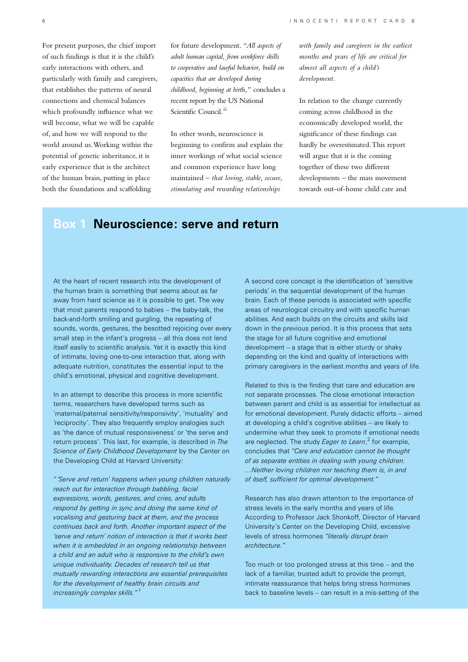For present purposes, the chief import of such findings is that it is the child's early interactions with others, and particularly with family and caregivers, that establishes the patterns of neural connections and chemical balances which profoundly influence what we will become, what we will be capable of, and how we will respond to the world around us. Working within the potential of genetic inheritance, it is early experience that is the architect of the human brain, putting in place both the foundations and scaffolding

for future development. *"All aspects of adult human capital, from workforce skills to cooperative and lawful behavior, build on capacities that are developed during childhood, beginning at birth,"* concludes a recent report by the US National Scientific Council.<sup>iii</sup>

In other words, neuroscience is beginning to confirm and explain the inner workings of what social science and common experience have long maintained – *that loving, stable, secure, stimulating and rewarding relationships* 

*with family and caregivers in the earliest months and years of life are critical for almost all aspects of a child's development.*

In relation to the change currently coming across childhood in the economically developed world, the significance of these findings can hardly be overestimated. This report will argue that it is the coming together of these two different developments – the mass movement towards out-of-home child care and

# **Box 1 Neuroscience: serve and return**

At the heart of recent research into the development of the human brain is something that seems about as far away from hard science as it is possible to get. The way that most parents respond to babies – the baby-talk, the back-and-forth smiling and gurgling, the repeating of sounds, words, gestures, the besotted rejoicing over every small step in the infant's progress – all this does not lend itself easily to scientific analysis. Yet it is exactly this kind of intimate, loving one-to-one interaction that, along with adequate nutrition, constitutes the essential input to the child's emotional, physical and cognitive development.

In an attempt to describe this process in more scientific terms, researchers have developed terms such as 'maternal/paternal sensitivity/responsivity', 'mutuality' and 'reciprocity'. They also frequently employ analogies such as 'the dance of mutual responsiveness' or 'the serve and return process'. This last, for example, is described in *The Science of Early Childhood Development* by the Center on the Developing Child at Harvard University:

*" 'Serve and return' happens when young children naturally reach out for interaction through babbling, facial expressions, words, gestures, and cries, and adults respond by getting in sync and doing the same kind of vocalising and gesturing back at them, and the process continues back and forth. Another important aspect of the 'serve and return' notion of interaction is that it works best when it is embedded in an ongoing relationship between a child and an adult who is responsive to the child's own unique individuality. Decades of research tell us that mutually rewarding interactions are essential prerequisites for the development of healthy brain circuits and increasingly complex skills."* <sup>1</sup>

A second core concept is the identification of 'sensitive periods' in the sequential development of the human brain. Each of these periods is associated with specific areas of neurological circuitry and with specific human abilities. And each builds on the circuits and skills laid down in the previous period. It is this process that sets the stage for all future cognitive and emotional development – a stage that is either sturdy or shaky depending on the kind and quality of interactions with primary caregivers in the earliest months and years of life.

Related to this is the finding that care and education are not separate processes. The close emotional interaction between parent and child is as essential for intellectual as for emotional development. Purely didactic efforts – aimed at developing a child's cognitive abilities – are likely to undermine what they seek to promote if emotional needs are neglected. The study *Eager to Learn*, 2 for example, concludes that *"Care and education cannot be thought of as separate entities in dealing with young children. …Neither loving children nor teaching them is, in and of itself, sufficient for optimal development."*

Research has also drawn attention to the importance of stress levels in the early months and years of life. According to Professor Jack Shonkoff, Director of Harvard University's Center on the Developing Child, excessive levels of stress hormones *"literally disrupt brain architecture."*

Too much or too prolonged stress at this time – and the lack of a familiar, trusted adult to provide the prompt, intimate reassurance that helps bring stress hormones back to baseline levels – can result in a mis-setting of the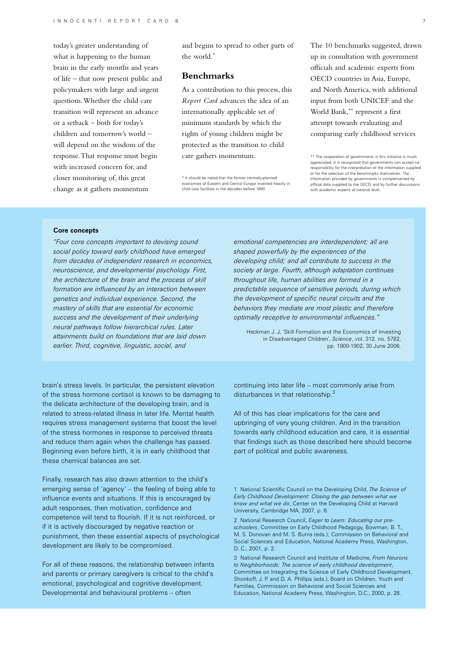today's greater understanding of what is happening to the human brain in the early months and years of life – that now present public and policymakers with large and urgent questions. Whether the child care transition will represent an advance or a setback – both for today's children and tomorrow's world – will depend on the wisdom of the response. That response must begin with increased concern for, and closer monitoring of, this great change as it gathers momentum

and begins to spread to other parts of the world.\*

# **Benchmarks**

As a contribution to this process, this *Report Card* advances the idea of an internationally applicable set of minimum standards by which the rights of young children might be protected as the transition to child care gathers momentum.

\* It should be noted that the former centrally-planned economies of Eastern and Central Europe invested heavily in child care facilities in the decades before 1990.

The 10 benchmarks suggested, drawn up in consultation with government officials and academic experts from OECD countries in Asia, Europe, and North America, with additional input from both UNICEF and the World Bank,\*\* represent a first attempt towards evaluating and comparing early childhood services

\*\* The cooperation of governments in this initiative is much appreciated. It is recognized that governments can accept no responsibility for the interpretation of the information supplied or for the selection of the benchmarks themselves. The information provided by governments is complemented by official data supplied to the OECD, and by further discussions with academic experts at national level.

## **Core concepts**

*"Four core concepts important to devising sound social policy toward early childhood have emerged from decades of independent research in economics, neuroscience, and developmental psychology. First, the architecture of the brain and the process of skill formation are influenced by an interaction between genetics and individual experience. Second, the mastery of skills that are essential for economic success and the development of their underlying neural pathways follow hierarchical rules. Later attainments build on foundations that are laid down earlier. Third, cognitive, linguistic, social, and* 

brain's stress levels. In particular, the persistent elevation of the stress hormone cortisol is known to be damaging to the delicate architecture of the developing brain, and is related to stress-related illness in later life. Mental health requires stress management systems that boost the level of the stress hormones in response to perceived threats and reduce them again when the challenge has passed. Beginning even before birth, it is in early childhood that these chemical balances are set.

Finally, research has also drawn attention to the child's emerging sense of 'agency' – the feeling of being able to influence events and situations. If this is encouraged by adult responses, then motivation, confidence and competence will tend to flourish. If it is not reinforced, or if it is actively discouraged by negative reaction or punishment, then these essential aspects of psychological development are likely to be compromised.

For all of these reasons, the relationship between infants and parents or primary caregivers is critical to the child's emotional, psychological and cognitive development. Developmental and behavioural problems – often

*emotional competencies are interdependent; all are shaped powerfully by the experiences of the developing child; and all contribute to success in the society at large. Fourth, although adaptation continues throughout life, human abilities are formed in a predictable sequence of sensitive periods, during which the development of specific neural circuits and the behaviors they mediate are most plastic and therefore optimally receptive to environmental influences."*

Heckman J. J, 'Skill Formation and the Economics of Investing in Disadvantaged Children', *Science*, vol. 312. no. 5782, pp. 1900-1902, 30 June 2006.

continuing into later life – most commonly arise from disturbances in that relationship.<sup>3</sup>

All of this has clear implications for the care and upbringing of very young children. And in the transition towards early childhood education and care, it is essential that findings such as those described here should become part of political and public awareness.

1 National Scientific Council on the Developing Child, *The Science of Early Childhood Development: Closing the gap between what we know and what we do*, Center on the Developing Child at Harvard University, Cambridge MA, 2007, p. 6.

2 National Research Council, *Eager to Learn: Educating our preschoolers*, Committee on Early Childhood Pedagogy, Bowman, B. T., M. S. Donovan and M. S. Burns (eds.); Commission on Behavioral and Social Sciences and Education, National Academy Press, Washington, D. C., 2001, p. 2.

3 National Research Council and Institute of Medicine, *From Neurons to Neighborhoods: The science of early childhood development*, Committee on Integrating the Science of Early Childhood Development, Shonkoff, J. P. and D. A. Phillips (eds.), Board on Children, Youth and Families, Commission on Behavioral and Social Sciences and Education, National Academy Press, Washington, D.C., 2000, p. 28.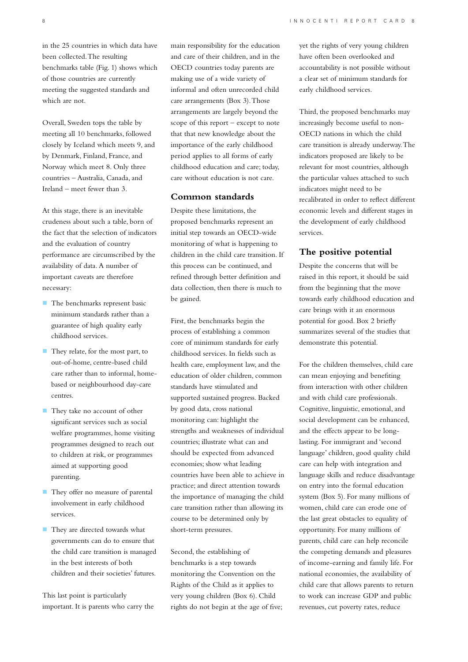in the 25 countries in which data have been collected. The resulting benchmarks table (Fig. 1) shows which of those countries are currently meeting the suggested standards and which are not.

Overall, Sweden tops the table by meeting all 10 benchmarks, followed closely by Iceland which meets 9, and by Denmark, Finland, France, and Norway which meet 8. Only three countries – Australia, Canada, and Ireland – meet fewer than 3.

At this stage, there is an inevitable crudeness about such a table, born of the fact that the selection of indicators and the evaluation of country performance are circumscribed by the availability of data. A number of important caveats are therefore necessary:

- **The benchmarks represent basic** minimum standards rather than a guarantee of high quality early childhood services.
- They relate, for the most part, to out-of-home, centre-based child care rather than to informal, homebased or neighbourhood day-care centres.
- They take no account of other significant services such as social welfare programmes, home visiting programmes designed to reach out to children at risk, or programmes aimed at supporting good parenting.
- They offer no measure of parental involvement in early childhood services.
- **They are directed towards what** governments can do to ensure that the child care transition is managed in the best interests of both children and their societies' futures.

This last point is particularly important. It is parents who carry the

main responsibility for the education and care of their children, and in the OECD countries today parents are making use of a wide variety of informal and often unrecorded child care arrangements (Box 3). Those arrangements are largely beyond the scope of this report – except to note that that new knowledge about the importance of the early childhood period applies to all forms of early childhood education and care; today, care without education is not care.

## **Common standards**

Despite these limitations, the proposed benchmarks represent an initial step towards an OECD-wide monitoring of what is happening to children in the child care transition. If this process can be continued, and refined through better definition and data collection, then there is much to be gained.

First, the benchmarks begin the process of establishing a common core of minimum standards for early childhood services. In fields such as health care, employment law, and the education of older children, common standards have stimulated and supported sustained progress. Backed by good data, cross national monitoring can: highlight the strengths and weaknesses of individual countries; illustrate what can and should be expected from advanced economies; show what leading countries have been able to achieve in practice; and direct attention towards the importance of managing the child care transition rather than allowing its course to be determined only by short-term pressures.

Second, the establishing of benchmarks is a step towards monitoring the Convention on the Rights of the Child as it applies to very young children (Box 6). Child rights do not begin at the age of five; yet the rights of very young children have often been overlooked and accountability is not possible without a clear set of minimum standards for early childhood services.

Third, the proposed benchmarks may increasingly become useful to non-OECD nations in which the child care transition is already underway. The indicators proposed are likely to be relevant for most countries, although the particular values attached to such indicators might need to be recalibrated in order to reflect different economic levels and different stages in the development of early childhood services.

## **The positive potential**

Despite the concerns that will be raised in this report, it should be said from the beginning that the move towards early childhood education and care brings with it an enormous potential for good. Box 2 briefly summarizes several of the studies that demonstrate this potential.

For the children themselves, child care can mean enjoying and benefiting from interaction with other children and with child care professionals. Cognitive, linguistic, emotional, and social development can be enhanced, and the effects appear to be longlasting. For immigrant and 'second language' children, good quality child care can help with integration and language skills and reduce disadvantage on entry into the formal education system (Box 5). For many millions of women, child care can erode one of the last great obstacles to equality of opportunity. For many millions of parents, child care can help reconcile the competing demands and pleasures of income-earning and family life. For national economies, the availability of child care that allows parents to return to work can increase GDP and public revenues, cut poverty rates, reduce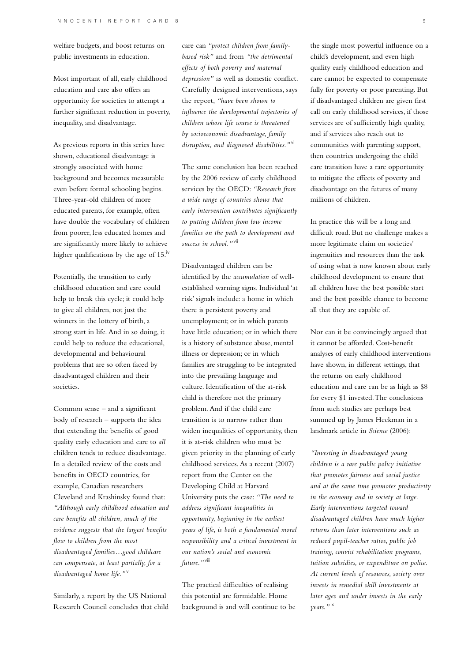welfare budgets, and boost returns on public investments in education.

Most important of all, early childhood education and care also offers an opportunity for societies to attempt a further significant reduction in poverty, inequality, and disadvantage.

As previous reports in this series have shown, educational disadvantage is strongly associated with home background and becomes measurable even before formal schooling begins. Three-year-old children of more educated parents, for example, often have double the vocabulary of children from poorer, less educated homes and are significantly more likely to achieve higher qualifications by the age of  $15.^{iv}$ 

Potentially, the transition to early childhood education and care could help to break this cycle; it could help to give all children, not just the winners in the lottery of birth, a strong start in life. And in so doing, it could help to reduce the educational, developmental and behavioural problems that are so often faced by disadvantaged children and their societies.

Common sense – and a significant body of research – supports the idea that extending the benefits of good quality early education and care to *all* children tends to reduce disadvantage. In a detailed review of the costs and benefits in OECD countries, for example, Canadian researchers Cleveland and Krashinsky found that: *"Although early childhood education and care benefits all children, much of the evidence suggests that the largest benefits flow to children from the most disadvantaged families…good childcare can compensate, at least partially, for a disadvantaged home life."*<sup>v</sup>

Similarly, a report by the US National Research Council concludes that child care can *"protect children from familybased risk"* and from *"the detrimental effects of both poverty and maternal depression"* as well as domestic conflict. Carefully designed interventions, says the report, *"have been shown to influence the developmental trajectories of children whose life course is threatened by socioeconomic disadvantage, family disruption, and diagnosed disabilities."*vi

The same conclusion has been reached by the 2006 review of early childhood services by the OECD: *"Research from a wide range of countries shows that early intervention contributes significantly to putting children from low income families on the path to development and success in school."*vii

Disadvantaged children can be identified by the *accumulation* of wellestablished warning signs. Individual 'at risk' signals include: a home in which there is persistent poverty and unemployment; or in which parents have little education; or in which there is a history of substance abuse, mental illness or depression; or in which families are struggling to be integrated into the prevailing language and culture. Identification of the at-risk child is therefore not the primary problem. And if the child care transition is to narrow rather than widen inequalities of opportunity, then it is at-risk children who must be given priority in the planning of early childhood services. As a recent (2007) report from the Center on the Developing Child at Harvard University puts the case: *"The need to address significant inequalities in opportunity, beginning in the earliest years of life, is both a fundamental moral responsibility and a critical investment in our nation's social and economic future."*viii

The practical difficulties of realising this potential are formidable. Home background is and will continue to be the single most powerful influence on a child's development, and even high quality early childhood education and care cannot be expected to compensate fully for poverty or poor parenting. But if disadvantaged children are given first call on early childhood services, if those services are of sufficiently high quality, and if services also reach out to communities with parenting support, then countries undergoing the child care transition have a rare opportunity to mitigate the effects of poverty and disadvantage on the futures of many millions of children.

In practice this will be a long and difficult road. But no challenge makes a more legitimate claim on societies' ingenuities and resources than the task of using what is now known about early childhood development to ensure that all children have the best possible start and the best possible chance to become all that they are capable of.

Nor can it be convincingly argued that it cannot be afforded. Cost-benefit analyses of early childhood interventions have shown, in different settings, that the returns on early childhood education and care can be as high as \$8 for every \$1 invested. The conclusions from such studies are perhaps best summed up by James Heckman in a landmark article in *Science* (2006):

*"Investing in disadvantaged young children is a rare public policy initiative that promotes fairness and social justice and at the same time promotes productivity in the economy and in society at large. Early interventions targeted toward disadvantaged children have much higher returns than later interventions such as reduced pupil-teacher ratios, public job training, convict rehabilitation programs, tuition subsidies, or expenditure on police. At current levels of resources, society over invests in remedial skill investments at later ages and under invests in the early years."*ix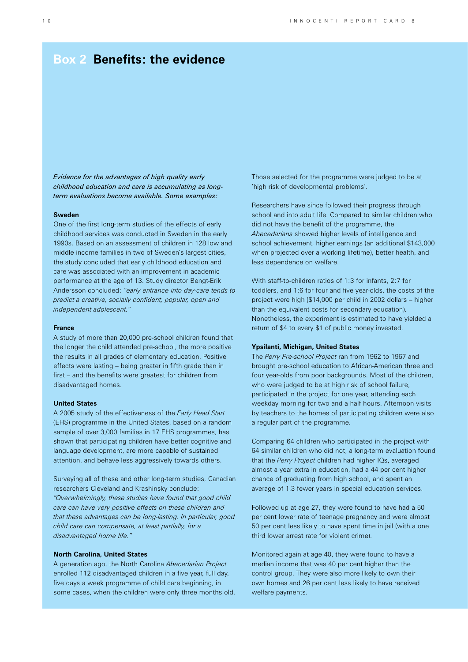# **Box 2 Benefits: the evidence**

*Evidence for the advantages of high quality early childhood education and care is accumulating as longterm evaluations become available. Some examples:*

#### **Sweden**

One of the first long-term studies of the effects of early childhood services was conducted in Sweden in the early 1990s. Based on an assessment of children in 128 low and middle income families in two of Sweden's largest cities, the study concluded that early childhood education and care was associated with an improvement in academic performance at the age of 13. Study director Bengt-Erik Andersson concluded: *"early entrance into day-care tends to predict a creative, socially confident, popular, open and independent adolescent."*

### **France**

A study of more than 20,000 pre-school children found that the longer the child attended pre-school, the more positive the results in all grades of elementary education. Positive effects were lasting – being greater in fifth grade than in first – and the benefits were greatest for children from disadvantaged homes.

## **United States**

A 2005 study of the effectiveness of the *Early Head Start* (EHS) programme in the United States, based on a random sample of over 3,000 families in 17 EHS programmes, has shown that participating children have better cognitive and language development, are more capable of sustained attention, and behave less aggressively towards others.

Surveying all of these and other long-term studies, Canadian researchers Cleveland and Krashinsky conclude: *"Overwhelmingly, these studies have found that good child care can have very positive effects on these children and that these advantages can be long-lasting. In particular, good child care can compensate, at least partially, for a disadvantaged home life."*

## **North Carolina, United States**

A generation ago, the North Carolina *Abecedarian Project* enrolled 112 disadvantaged children in a five year, full day, five days a week programme of child care beginning, in some cases, when the children were only three months old. Those selected for the programme were judged to be at 'high risk of developmental problems'.

Researchers have since followed their progress through school and into adult life. Compared to similar children who did not have the benefit of the programme, the *Abecedarians* showed higher levels of intelligence and school achievement, higher earnings (an additional \$143,000 when projected over a working lifetime), better health, and less dependence on welfare.

With staff-to-children ratios of 1:3 for infants, 2:7 for toddlers, and 1:6 for four and five year-olds, the costs of the project were high (\$14,000 per child in 2002 dollars – higher than the equivalent costs for secondary education). Nonetheless, the experiment is estimated to have yielded a return of \$4 to every \$1 of public money invested.

## **Ypsilanti, Michigan, United States**

The *Perry Pre-school Project* ran from 1962 to 1967 and brought pre-school education to African-American three and four year-olds from poor backgrounds. Most of the children, who were judged to be at high risk of school failure, participated in the project for one year, attending each weekday morning for two and a half hours. Afternoon visits by teachers to the homes of participating children were also a regular part of the programme.

Comparing 64 children who participated in the project with 64 similar children who did not, a long-term evaluation found that the *Perry Project* children had higher IQs, averaged almost a year extra in education, had a 44 per cent higher chance of graduating from high school, and spent an average of 1.3 fewer years in special education services.

Followed up at age 27, they were found to have had a 50 per cent lower rate of teenage pregnancy and were almost 50 per cent less likely to have spent time in jail (with a one third lower arrest rate for violent crime).

Monitored again at age 40, they were found to have a median income that was 40 per cent higher than the control group. They were also more likely to own their own homes and 26 per cent less likely to have received welfare payments.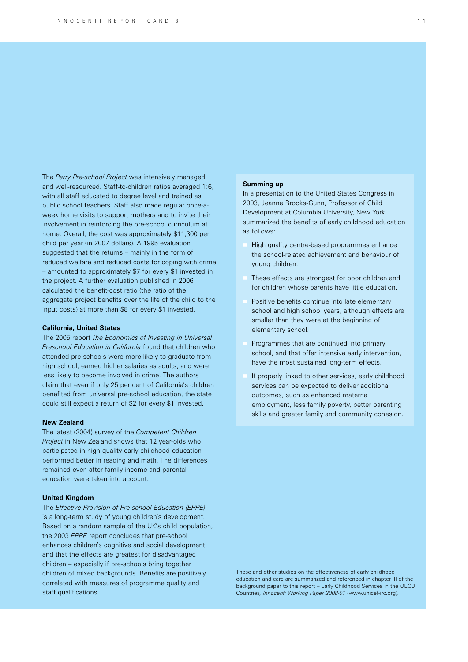The *Perry Pre-school Project* was intensively managed and well-resourced. Staff-to-children ratios averaged 1:6, with all staff educated to degree level and trained as public school teachers. Staff also made regular once-aweek home visits to support mothers and to invite their involvement in reinforcing the pre-school curriculum at home. Overall, the cost was approximately \$11,300 per child per year (in 2007 dollars). A 1995 evaluation suggested that the returns – mainly in the form of reduced welfare and reduced costs for coping with crime – amounted to approximately \$7 for every \$1 invested in the project. A further evaluation published in 2006 calculated the benefit-cost ratio (the ratio of the aggregate project benefits over the life of the child to the input costs) at more than \$8 for every \$1 invested.

### **California, United States**

The 2005 report *The Economics of Investing in Universal Preschool Education in California* found that children who attended pre-schools were more likely to graduate from high school, earned higher salaries as adults, and were less likely to become involved in crime. The authors claim that even if only 25 per cent of California's children benefited from universal pre-school education, the state could still expect a return of \$2 for every \$1 invested.

#### **New Zealand**

The latest (2004) survey of the *Competent Children Project* in New Zealand shows that 12 year-olds who participated in high quality early childhood education performed better in reading and math. The differences remained even after family income and parental education were taken into account.

## **United Kingdom**

The *Effective Provision of Pre-school Education (EPPE)*  is a long-term study of young children's development. Based on a random sample of the UK's child population, the 2003 *EPPE* report concludes that pre-school enhances children's cognitive and social development and that the effects are greatest for disadvantaged children – especially if pre-schools bring together children of mixed backgrounds. Benefits are positively correlated with measures of programme quality and staff qualifications.

## **Summing up**

In a presentation to the United States Congress in 2003, Jeanne Brooks-Gunn, Professor of Child Development at Columbia University, New York, summarized the benefits of early childhood education as follows:

- High quality centre-based programmes enhance the school-related achievement and behaviour of young children.
- These effects are strongest for poor children and for children whose parents have little education.
- Positive benefits continue into late elementary school and high school years, although effects are smaller than they were at the beginning of elementary school.
- Programmes that are continued into primary school, and that offer intensive early intervention, have the most sustained long-term effects.
- If properly linked to other services, early childhood services can be expected to deliver additional outcomes, such as enhanced maternal employment, less family poverty, better parenting skills and greater family and community cohesion.

These and other studies on the effectiveness of early childhood education and care are summarized and referenced in chapter III of the background paper to this report – Early Childhood Services in the OECD Countries*, Innocenti Working Paper 2008-01* (www.unicef-irc.org).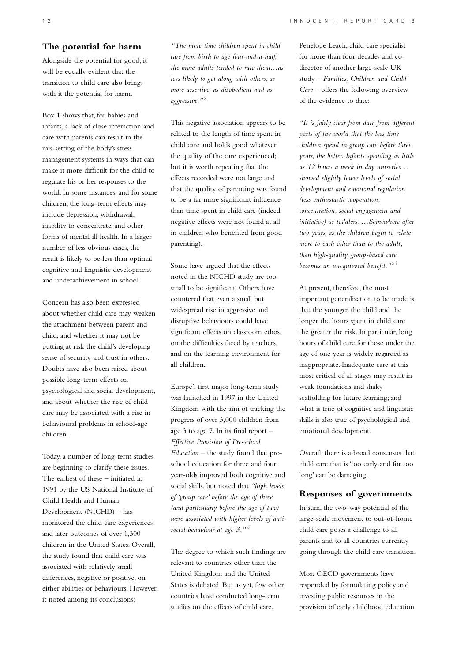# **The potential for harm**

Alongside the potential for good, it will be equally evident that the transition to child care also brings with it the potential for harm.

Box 1 shows that, for babies and infants, a lack of close interaction and care with parents can result in the mis-setting of the body's stress management systems in ways that can make it more difficult for the child to regulate his or her responses to the world. In some instances, and for some children, the long-term effects may include depression, withdrawal, inability to concentrate, and other forms of mental ill health. In a larger number of less obvious cases, the result is likely to be less than optimal cognitive and linguistic development and underachievement in school.

Concern has also been expressed about whether child care may weaken the attachment between parent and child, and whether it may not be putting at risk the child's developing sense of security and trust in others. Doubts have also been raised about possible long-term effects on psychological and social development, and about whether the rise of child care may be associated with a rise in behavioural problems in school-age children.

Today, a number of long-term studies are beginning to clarify these issues. The earliest of these – initiated in 1991 by the US National Institute of Child Health and Human Development (NICHD) – has monitored the child care experiences and later outcomes of over 1,300 children in the United States. Overall, the study found that child care was associated with relatively small differences, negative or positive, on either abilities or behaviours. However, it noted among its conclusions:

*"The more time children spent in child care from birth to age four-and-a-half, the more adults tended to rate them…as less likely to get along with others, as more assertive, as disobedient and as aggressive."*<sup>x</sup>

This negative association appears to be related to the length of time spent in child care and holds good whatever the quality of the care experienced; but it is worth repeating that the effects recorded were not large and that the quality of parenting was found to be a far more significant influence than time spent in child care (indeed negative effects were not found at all in children who benefited from good parenting).

Some have argued that the effects noted in the NICHD study are too small to be significant. Others have countered that even a small but widespread rise in aggressive and disruptive behaviours could have significant effects on classroom ethos, on the difficulties faced by teachers, and on the learning environment for all children.

Europe's first major long-term study was launched in 1997 in the United Kingdom with the aim of tracking the progress of over 3,000 children from age 3 to age 7. In its final report – *Effective Provision of Pre-school Education* – the study found that preschool education for three and four year-olds improved both cognitive and social skills, but noted that *"high levels of 'group care' before the age of three (and particularly before the age of two) were associated with higher levels of antisocial behaviour at age 3."*xi

The degree to which such findings are relevant to countries other than the United Kingdom and the United States is debated. But as yet, few other countries have conducted long-term studies on the effects of child care.

Penelope Leach, child care specialist for more than four decades and codirector of another large-scale UK study – *Families, Children and Child Care* – offers the following overview of the evidence to date:

*"It is fairly clear from data from different parts of the world that the less time children spend in group care before three years, the better. Infants spending as little as 12 hours a week in day nurseries… showed slightly lower levels of social development and emotional regulation (less enthusiastic cooperation, concentration, social engagement and initiative) as toddlers. …Somewhere after two years, as the children begin to relate more to each other than to the adult, then high-quality, group-based care becomes an unequivocal benefit."*xii

At present, therefore, the most important generalization to be made is that the younger the child and the longer the hours spent in child care the greater the risk. In particular, long hours of child care for those under the age of one year is widely regarded as inappropriate. Inadequate care at this most critical of all stages may result in weak foundations and shaky scaffolding for future learning; and what is true of cognitive and linguistic skills is also true of psychological and emotional development.

Overall, there is a broad consensus that child care that is 'too early and for too long' can be damaging.

# **Responses of governments**

In sum, the two-way potential of the large-scale movement to out-of-home child care poses a challenge to all parents and to all countries currently going through the child care transition.

Most OECD governments have responded by formulating policy and investing public resources in the provision of early childhood education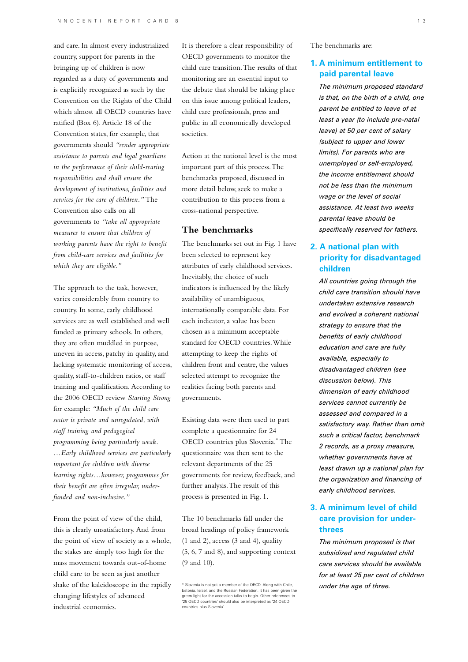and care. In almost every industrialized country, support for parents in the bringing up of children is now regarded as a duty of governments and is explicitly recognized as such by the Convention on the Rights of the Child which almost all OECD countries have ratified (Box 6). Article 18 of the Convention states, for example, that governments should *"render appropriate assistance to parents and legal guardians in the performance of their child-rearing responsibilities and shall ensure the development of institutions, facilities and services for the care of children."* The Convention also calls on all governments to *"take all appropriate measures to ensure that children of working parents have the right to benefit from child-care services and facilities for which they are eligible."*

The approach to the task, however, varies considerably from country to country. In some, early childhood services are as well established and well funded as primary schools. In others, they are often muddled in purpose, uneven in access, patchy in quality, and lacking systematic monitoring of access, quality, staff-to-children ratios, or staff training and qualification. According to the 2006 OECD review *Starting Strong* for example: *"Much of the child care sector is private and unregulated, with staff training and pedagogical programming being particularly weak. …Early childhood services are particularly important for children with diverse learning rights…however, programmes for their benefit are often irregular, underfunded and non-inclusive."*

From the point of view of the child, this is clearly unsatisfactory. And from the point of view of society as a whole, the stakes are simply too high for the mass movement towards out-of-home child care to be seen as just another shake of the kaleidoscope in the rapidly changing lifestyles of advanced industrial economies.

It is therefore a clear responsibility of OECD governments to monitor the child care transition. The results of that monitoring are an essential input to the debate that should be taking place on this issue among political leaders, child care professionals, press and public in all economically developed societies.

Action at the national level is the most important part of this process. The benchmarks proposed, discussed in more detail below, seek to make a contribution to this process from a cross-national perspective.

## **The benchmarks**

The benchmarks set out in Fig. 1 have been selected to represent key attributes of early childhood services. Inevitably, the choice of such indicators is influenced by the likely availability of unambiguous, internationally comparable data. For each indicator, a value has been chosen as a minimum acceptable standard for OECD countries. While attempting to keep the rights of children front and centre, the values selected attempt to recognize the realities facing both parents and governments.

Existing data were then used to part complete a questionnaire for 24 OECD countries plus Slovenia.\* The questionnaire was then sent to the relevant departments of the 25 governments for review, feedback, and further analysis. The result of this process is presented in Fig. 1.

The 10 benchmarks fall under the broad headings of policy framework  $(1 \text{ and } 2)$ , access  $(3 \text{ and } 4)$ , quality (5, 6, 7 and 8), and supporting context (9 and 10).

The benchmarks are:

# **1. A minimum entitlement to paid parental leave**

*The minimum proposed standard is that, on the birth of a child, one parent be entitled to leave of at least a year (to include pre-natal leave) at 50 per cent of salary (subject to upper and lower limits). For parents who are unemployed or self-employed, the income entitlement should not be less than the minimum wage or the level of social assistance. At least two weeks parental leave should be specifically reserved for fathers.*

# **2. A national plan with priority for disadvantaged children**

*All countries going through the child care transition should have undertaken extensive research and evolved a coherent national strategy to ensure that the benefits of early childhood education and care are fully available, especially to disadvantaged children (see discussion below). This dimension of early childhood services cannot currently be assessed and compared in a satisfactory way. Rather than omit such a critical factor, benchmark 2 records, as a proxy measure, whether governments have at least drawn up a national plan for the organization and financing of early childhood services.*

# **3. A minimum level of child care provision for underthrees**

*The minimum proposed is that subsidized and regulated child care services should be available for at least 25 per cent of children* 

*under the age of three.* \* Slovenia is not yet a member of the OECD. Along with Chile, Estonia, Israel, and the Russian Federation, it has been given the green light for the accession talks to begin. Other references to '25 OECD countries' should also be interpreted as '24 OECD countries plus Slovenia'.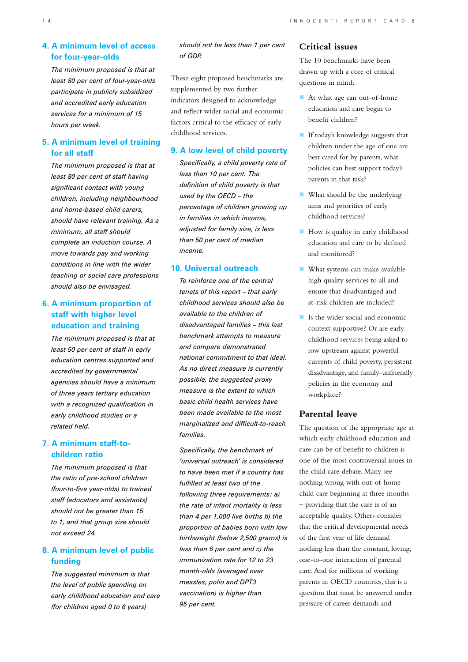# **4. A minimum level of access for four-year-olds**

*The minimum proposed is that at least 80 per cent of four-year-olds participate in publicly subsidized and accredited early education services for a minimum of 15 hours per week.*

# **5. A minimum level of training for all staff**

*The minimum proposed is that at least 80 per cent of staff having significant contact with young children, including neighbourhood and home-based child carers, should have relevant training. As a minimum, all staff should complete an induction course. A move towards pay and working conditions in line with the wider teaching or social care professions should also be envisaged.* 

# **6. A minimum proportion of staff with higher level education and training**

*The minimum proposed is that at least 50 per cent of staff in early education centres supported and accredited by governmental agencies should have a minimum of three years tertiary education with a recognized qualification in early childhood studies or a related field.* 

# **7. A minimum staff-tochildren ratio**

*The minimum proposed is that the ratio of pre-school children (four-to-five year-olds) to trained staff (educators and assistants) should not be greater than 15 to 1, and that group size should not exceed 24.*

# **8. A minimum level of public funding**

*The suggested minimum is that the level of public spending on early childhood education and care (for children aged 0 to 6 years)* 

*should not be less than 1 per cent of GDP.* 

These eight proposed benchmarks are supplemented by two further indicators designed to acknowledge and reflect wider social and economic factors critical to the efficacy of early childhood services.

# **9. A low level of child poverty**

*Specifically, a child poverty rate of less than 10 per cent. The definition of child poverty is that used by the OECD – the percentage of children growing up in families in which income, adjusted for family size, is less than 50 per cent of median income.* 

## **10. Universal outreach**

*To reinforce one of the central tenets of this report – that early childhood services should also be available to the children of disadvantaged families – this last benchmark attempts to measure and compare demonstrated national commitment to that ideal. As no direct measure is currently possible, the suggested proxy measure is the extent to which basic child health services have been made available to the most marginalized and difficult-to-reach families.* 

*Specifically, the benchmark of 'universal outreach' is considered to have been met if a country has fulfilled at least two of the following three requirements: a) the rate of infant mortality is less than 4 per 1,000 live births b) the proportion of babies born with low birthweight (below 2,500 grams) is less than 6 per cent and c) the immunization rate for 12 to 23 month-olds (averaged over measles, polio and DPT3 vaccination) is higher than 95 per cent.* 

# **Critical issues**

The 10 benchmarks have been drawn up with a core of critical questions in mind:

- At what age can out-of-home education and care begin to benefit children?
- **If today's knowledge suggests that** children under the age of one are best cared for by parents, what policies can best support today's parents in that task?
- What should be the underlying aims and priorities of early childhood services?
- How is quality in early childhood education and care to be defined and monitored?
- **What systems can make available** high quality services to all and ensure that disadvantaged and at-risk children are included?
- Is the wider social and economic context supportive? Or are early childhood services being asked to row upstream against powerful currents of child poverty, persistent disadvantage, and family-unfriendly policies in the economy and workplace?

# **Parental leave**

The question of the appropriate age at which early childhood education and care can be of benefit to children is one of the most controversial issues in the child care debate. Many see nothing wrong with out-of-home child care beginning at three months – providing that the care is of an acceptable quality. Others consider that the critical developmental needs of the first year of life demand nothing less than the constant, loving, one-to-one interaction of parental care. And for millions of working parents in OECD countries, this is a question that must be answered under pressure of career demands and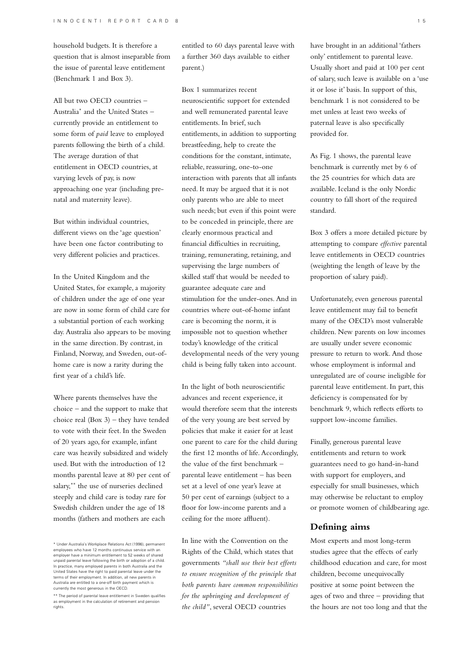household budgets. It is therefore a question that is almost inseparable from the issue of parental leave entitlement (Benchmark 1 and Box 3).

All but two OECD countries – Australia\* and the United States – currently provide an entitlement to some form of *paid* leave to employed parents following the birth of a child. The average duration of that entitlement in OECD countries, at varying levels of pay, is now approaching one year (including prenatal and maternity leave).

But within individual countries, different views on the 'age question' have been one factor contributing to very different policies and practices.

In the United Kingdom and the United States, for example, a majority of children under the age of one year are now in some form of child care for a substantial portion of each working day. Australia also appears to be moving in the same direction. By contrast, in Finland, Norway, and Sweden, out-ofhome care is now a rarity during the first year of a child's life.

Where parents themselves have the choice – and the support to make that choice real (Box 3) – they have tended to vote with their feet. In the Sweden of 20 years ago, for example, infant care was heavily subsidized and widely used. But with the introduction of 12 months parental leave at 80 per cent of salary,\*\* the use of nurseries declined steeply and child care is today rare for Swedish children under the age of 18 months (fathers and mothers are each

entitled to 60 days parental leave with a further 360 days available to either parent.)

Box 1 summarizes recent neuroscientific support for extended and well remunerated parental leave entitlements. In brief, such entitlements, in addition to supporting breastfeeding, help to create the conditions for the constant, intimate, reliable, reassuring, one-to-one interaction with parents that all infants need. It may be argued that it is not only parents who are able to meet such needs; but even if this point were to be conceded in principle, there are clearly enormous practical and financial difficulties in recruiting, training, remunerating, retaining, and supervising the large numbers of skilled staff that would be needed to guarantee adequate care and stimulation for the under-ones. And in countries where out-of-home infant care is becoming the norm, it is impossible not to question whether today's knowledge of the critical developmental needs of the very young child is being fully taken into account.

In the light of both neuroscientific advances and recent experience, it would therefore seem that the interests of the very young are best served by policies that make it easier for at least one parent to care for the child during the first 12 months of life. Accordingly, the value of the first benchmark – parental leave entitlement – has been set at a level of one year's leave at 50 per cent of earnings (subject to a floor for low-income parents and a ceiling for the more affluent).

In line with the Convention on the Rights of the Child, which states that governments *"shall use their best efforts to ensure recognition of the principle that both parents have common responsibilities for the upbringing and development of the child"*, several OECD countries

have brought in an additional 'fathers only' entitlement to parental leave. Usually short and paid at 100 per cent of salary, such leave is available on a 'use it or lose it' basis. In support of this, benchmark 1 is not considered to be met unless at least two weeks of paternal leave is also specifically provided for.

As Fig. 1 shows, the parental leave benchmark is currently met by 6 of the 25 countries for which data are available. Iceland is the only Nordic country to fall short of the required standard.

Box 3 offers a more detailed picture by attempting to compare *effective* parental leave entitlements in OECD countries (weighting the length of leave by the proportion of salary paid).

Unfortunately, even generous parental leave entitlement may fail to benefit many of the OECD's most vulnerable children. New parents on low incomes are usually under severe economic pressure to return to work. And those whose employment is informal and unregulated are of course ineligible for parental leave entitlement. In part, this deficiency is compensated for by benchmark 9, which reflects efforts to support low-income families.

Finally, generous parental leave entitlements and return to work guarantees need to go hand-in-hand with support for employers, and especially for small businesses, which may otherwise be reluctant to employ or promote women of childbearing age.

## **Defining aims**

Most experts and most long-term studies agree that the effects of early childhood education and care, for most children, become unequivocally positive at some point between the ages of two and three – providing that the hours are not too long and that the

<sup>\*</sup> Under Australia's Workplace Relations Act (1996), permanent employees who have 12 months continuous service with an employer have a minimum entitlement to 52 weeks of shared unpaid parental leave following the birth or adoption of a child. In practice, many employed parents in both Australia and the United States have the right to paid parental leave under the terms of their employment. In addition, all new parents in Australia are entitled to a one-off birth payment which is currently the most generous in the OECD.

<sup>\*\*</sup> The period of parental leave entitlement in Sweden qualifies as employment in the calculation of retirement and pension rights.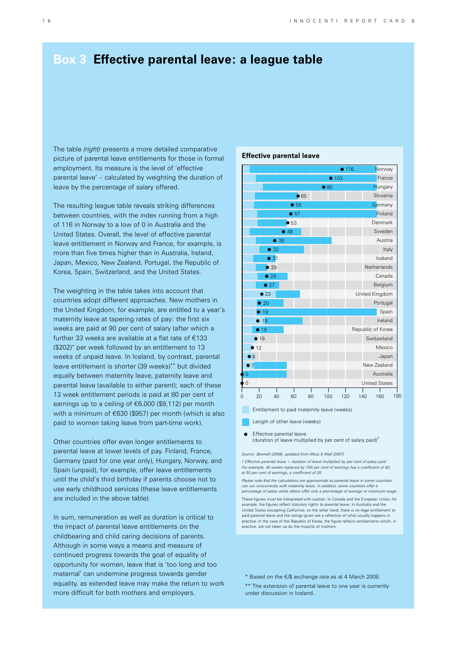# **Box 3 Effective parental leave: a league table**

The table *(right)* presents a more detailed comparative picture of parental leave entitlements for those in formal employment. Its measure is the level of 'effective parental leave' – calculated by weighting the duration of leave by the percentage of salary offered.

The resulting league table reveals striking differences between countries, with the index running from a high of 116 in Norway to a low of 0 in Australia and the United States. Overall, the level of effective parental leave entitlement in Norway and France, for example, is more than five times higher than in Australia, Ireland, Japan, Mexico, New Zealand, Portugal, the Republic of Korea, Spain, Switzerland, and the United States.

The weighting in the table takes into account that countries adopt different approaches. New mothers in the United Kingdom, for example, are entitled to a year's maternity leave at tapering rates of pay: the first six weeks are paid at 90 per cent of salary (after which a further 33 weeks are available at a flat rate of  $E$ 133 (\$202)\* per week followed by an entitlement to 13 weeks of unpaid leave. In Iceland, by contrast, parental leave entitlement is shorter (39 weeks)\*\* but divided equally between maternity leave, paternity leave and parental leave (available to either parent); each of these 13 week entitlement periods is paid at 80 per cent of earnings up to a ceiling of  $\epsilon$ 6,000 (\$9,112) per month with a minimum of  $\epsilon$ 630 (\$957) per month (which is also paid to women taking leave from part-time work).

Other countries offer even longer entitlements to parental leave at lower levels of pay. Finland, France, Germany (paid for one year only), Hungary, Norway, and Spain (unpaid), for example, offer leave entitlements until the child's third birthday if parents choose not to use early childhood services (these leave entitlements are included in the above table).

In sum, remuneration as well as duration is critical to the impact of parental leave entitlements on the childbearing and child caring decisions of parents. Although in some ways a means and measure of continued progress towards the goal of equality of opportunity for women, leave that is 'too long and too maternal' can undermine progress towards gender equality, as extended leave may make the return to work more difficult for both mothers and employers.

### **Effective parental leave**



Entitlement to paid maternity leave (weeks)

Length of other leave (weeks)

Effective parental leave (duration of leave multiplied by per cent of salary paid)†

*Source: Bennett (2008), updated from Moss & Wall (2007).*

*† Effective parental leave = duration of leave multiplied by per cent of salary paid. For example, 40 weeks replaced by 100 per cent of earnings has a coefficient of 40; at 50 per cent of earnings, a coefficient of 20.*

*Please note that the calculations are approximate as parental leave in some countries can run concurrently with maternity leave. In addition, some countries offer a percentage of salary while others offer only a percentage of average or minimum wage.* These figures must be interpreted with caution. In Canada and the European Union, for example, the figures reflect statutory rights to parental leave; in Australia and the United States (excepting California), on the other hand, there is no legal entitlement to paid parental leave and the ratings given are a reflection of what usually happens in practice. In the case of the Republic of Korea, the figure reflects entitlements which, in practice, are not taken up by the majority of mothers.

 $*$  Based on the  $\epsilon$ /\$ exchange rate as at 4 March 2008.

\*\* The extension of parental leave to one year is currently under discussion in Iceland.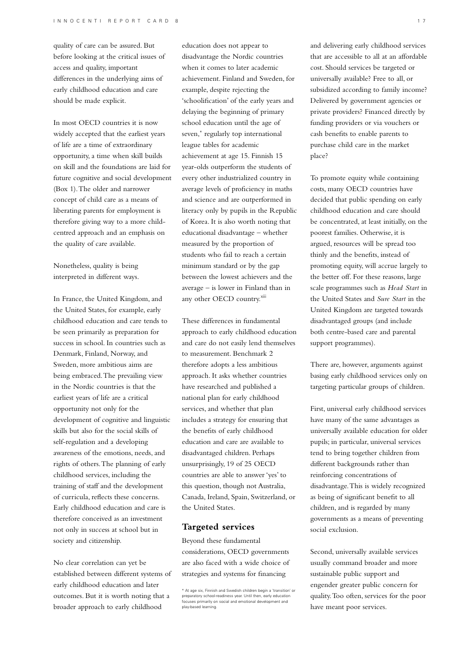quality of care can be assured. But before looking at the critical issues of access and quality, important differences in the underlying aims of early childhood education and care should be made explicit.

In most OECD countries it is now widely accepted that the earliest years of life are a time of extraordinary opportunity, a time when skill builds on skill and the foundations are laid for future cognitive and social development (Box 1). The older and narrower concept of child care as a means of liberating parents for employment is therefore giving way to a more childcentred approach and an emphasis on the quality of care available.

Nonetheless, quality is being interpreted in different ways.

In France, the United Kingdom, and the United States, for example, early childhood education and care tends to be seen primarily as preparation for success in school. In countries such as Denmark, Finland, Norway, and Sweden, more ambitious aims are being embraced. The prevailing view in the Nordic countries is that the earliest years of life are a critical opportunity not only for the development of cognitive and linguistic skills but also for the social skills of self-regulation and a developing awareness of the emotions, needs, and rights of others. The planning of early childhood services, including the training of staff and the development of curricula, reflects these concerns. Early childhood education and care is therefore conceived as an investment not only in success at school but in society and citizenship.

No clear correlation can yet be established between different systems of early childhood education and later outcomes. But it is worth noting that a broader approach to early childhood

education does not appear to disadvantage the Nordic countries when it comes to later academic achievement. Finland and Sweden, for example, despite rejecting the 'schoolification' of the early years and delaying the beginning of primary school education until the age of seven,\* regularly top international league tables for academic achievement at age 15. Finnish 15 year-olds outperform the students of every other industrialized country in average levels of proficiency in maths and science and are outperformed in literacy only by pupils in the Republic of Korea. It is also worth noting that educational disadvantage – whether measured by the proportion of students who fail to reach a certain minimum standard or by the gap between the lowest achievers and the average – is lower in Finland than in any other OECD country.<sup>xiii</sup>

These differences in fundamental approach to early childhood education and care do not easily lend themselves to measurement. Benchmark 2 therefore adopts a less ambitious approach. It asks whether countries have researched and published a national plan for early childhood services, and whether that plan includes a strategy for ensuring that the benefits of early childhood education and care are available to disadvantaged children. Perhaps unsurprisingly, 19 of 25 OECD countries are able to answer 'yes' to this question, though not Australia, Canada, Ireland, Spain, Switzerland, or the United States.

## **Targeted services**

Beyond these fundamental considerations, OECD governments are also faced with a wide choice of strategies and systems for financing

and delivering early childhood services that are accessible to all at an affordable cost. Should services be targeted or universally available? Free to all, or subsidized according to family income? Delivered by government agencies or private providers? Financed directly by funding providers or via vouchers or cash benefits to enable parents to purchase child care in the market place?

To promote equity while containing costs, many OECD countries have decided that public spending on early childhood education and care should be concentrated, at least initially, on the poorest families. Otherwise, it is argued, resources will be spread too thinly and the benefits, instead of promoting equity, will accrue largely to the better off. For these reasons, large scale programmes such as *Head Start* in the United States and *Sure Start* in the United Kingdom are targeted towards disadvantaged groups (and include both centre-based care and parental support programmes).

There are, however, arguments against basing early childhood services only on targeting particular groups of children.

First, universal early childhood services have many of the same advantages as universally available education for older pupils; in particular, universal services tend to bring together children from different backgrounds rather than reinforcing concentrations of disadvantage. This is widely recognized as being of significant benefit to all children, and is regarded by many governments as a means of preventing social exclusion.

Second, universally available services usually command broader and more sustainable public support and engender greater public concern for quality. Too often, services for the poor have meant poor services.

<sup>\*</sup> At age six, Finnish and Swedish children begin a 'transition' or preparatory school-readiness year. Until then, early education focuses primarily on social and emotional development and play-based learning.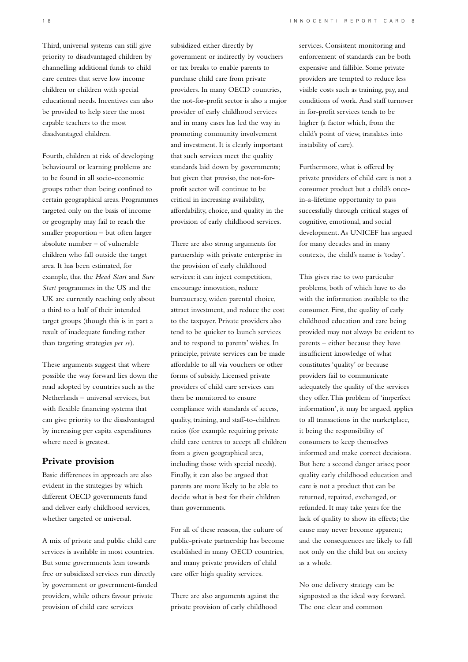Third, universal systems can still give priority to disadvantaged children by channelling additional funds to child care centres that serve low income children or children with special educational needs. Incentives can also be provided to help steer the most capable teachers to the most disadvantaged children.

Fourth, children at risk of developing behavioural or learning problems are to be found in all socio-economic groups rather than being confined to certain geographical areas. Programmes targeted only on the basis of income or geography may fail to reach the smaller proportion – but often larger absolute number – of vulnerable children who fall outside the target area. It has been estimated, for example, that the *Head Start* and *Sure Start* programmes in the US and the UK are currently reaching only about a third to a half of their intended target groups (though this is in part a result of inadequate funding rather than targeting strategies *per se*).

These arguments suggest that where possible the way forward lies down the road adopted by countries such as the Netherlands – universal services, but with flexible financing systems that can give priority to the disadvantaged by increasing per capita expenditures where need is greatest.

## **Private provision**

Basic differences in approach are also evident in the strategies by which different OECD governments fund and deliver early childhood services, whether targeted or universal.

A mix of private and public child care services is available in most countries. But some governments lean towards free or subsidized services run directly by government or government-funded providers, while others favour private provision of child care services

subsidized either directly by government or indirectly by vouchers or tax breaks to enable parents to purchase child care from private providers. In many OECD countries, the not-for-profit sector is also a major provider of early childhood services and in many cases has led the way in promoting community involvement and investment. It is clearly important that such services meet the quality standards laid down by governments; but given that proviso, the not-forprofit sector will continue to be critical in increasing availability, affordability, choice, and quality in the provision of early childhood services.

There are also strong arguments for partnership with private enterprise in the provision of early childhood services: it can inject competition, encourage innovation, reduce bureaucracy, widen parental choice, attract investment, and reduce the cost to the taxpayer. Private providers also tend to be quicker to launch services and to respond to parents' wishes. In principle, private services can be made affordable to all via vouchers or other forms of subsidy. Licensed private providers of child care services can then be monitored to ensure compliance with standards of access, quality, training, and staff-to-children ratios (for example requiring private child care centres to accept all children from a given geographical area, including those with special needs). Finally, it can also be argued that parents are more likely to be able to decide what is best for their children than governments.

For all of these reasons, the culture of public-private partnership has become established in many OECD countries, and many private providers of child care offer high quality services.

There are also arguments against the private provision of early childhood

services. Consistent monitoring and enforcement of standards can be both expensive and fallible. Some private providers are tempted to reduce less visible costs such as training, pay, and conditions of work. And staff turnover in for-profit services tends to be higher (a factor which, from the child's point of view, translates into instability of care).

Furthermore, what is offered by private providers of child care is not a consumer product but a child's oncein-a-lifetime opportunity to pass successfully through critical stages of cognitive, emotional, and social development. As UNICEF has argued for many decades and in many contexts, the child's name is 'today'.

This gives rise to two particular problems, both of which have to do with the information available to the consumer. First, the quality of early childhood education and care being provided may not always be evident to parents – either because they have insufficient knowledge of what constitutes 'quality' or because providers fail to communicate adequately the quality of the services they offer. This problem of 'imperfect information', it may be argued, applies to all transactions in the marketplace, it being the responsibility of consumers to keep themselves informed and make correct decisions. But here a second danger arises; poor quality early childhood education and care is not a product that can be returned, repaired, exchanged, or refunded. It may take years for the lack of quality to show its effects; the cause may never become apparent; and the consequences are likely to fall not only on the child but on society as a whole.

No one delivery strategy can be signposted as the ideal way forward. The one clear and common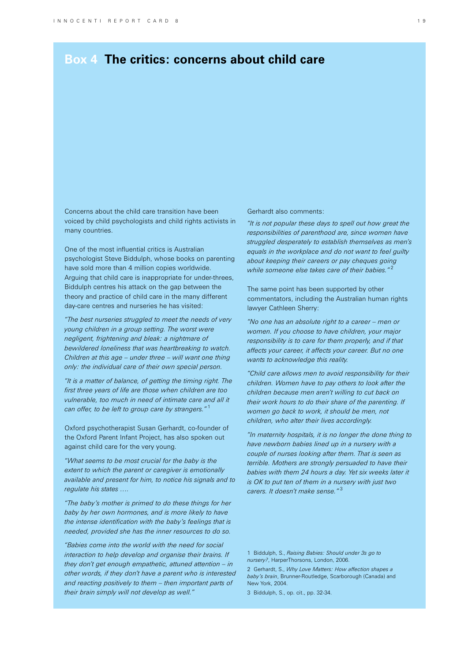# **Box 4 The critics: concerns about child care**

Concerns about the child care transition have been voiced by child psychologists and child rights activists in many countries.

One of the most influential critics is Australian psychologist Steve Biddulph, whose books on parenting have sold more than 4 million copies worldwide. Arguing that child care is inappropriate for under-threes, Biddulph centres his attack on the gap between the theory and practice of child care in the many different day-care centres and nurseries he has visited:

*"The best nurseries struggled to meet the needs of very young children in a group setting. The worst were negligent, frightening and bleak: a nightmare of bewildered loneliness that was heartbreaking to watch. Children at this age – under three – will want one thing only: the individual care of their own special person.*

*"It is a matter of balance, of getting the timing right. The first three years of life are those when children are too vulnerable, too much in need of intimate care and all it can offer, to be left to group care by strangers."* <sup>1</sup>

Oxford psychotherapist Susan Gerhardt, co-founder of the Oxford Parent Infant Project, has also spoken out against child care for the very young.

*"What seems to be most crucial for the baby is the extent to which the parent or caregiver is emotionally available and present for him, to notice his signals and to regulate his states ….*

*"The baby's mother is primed to do these things for her baby by her own hormones, and is more likely to have the intense identification with the baby's feelings that is needed, provided she has the inner resources to do so.*

*"Babies come into the world with the need for social interaction to help develop and organise their brains. If they don't get enough empathetic, attuned attention – in other words, if they don't have a parent who is interested and reacting positively to them – then important parts of their brain simply will not develop as well."*

Gerhardt also comments:

*"It is not popular these days to spell out how great the responsibilities of parenthood are, since women have struggled desperately to establish themselves as men's equals in the workplace and do not want to feel guilty about keeping their careers or pay cheques going while someone else takes care of their babies."* <sup>2</sup>

The same point has been supported by other commentators, including the Australian human rights lawyer Cathleen Sherry:

*"No one has an absolute right to a career – men or women. If you choose to have children, your major responsibility is to care for them properly, and if that affects your career, it affects your career. But no one wants to acknowledge this reality.*

*"Child care allows men to avoid responsibility for their children. Women have to pay others to look after the children because men aren't willing to cut back on their work hours to do their share of the parenting. If women go back to work, it should be men, not children, who alter their lives accordingly.*

*"In maternity hospitals, it is no longer the done thing to have newborn babies lined up in a nursery with a couple of nurses looking after them. That is seen as terrible. Mothers are strongly persuaded to have their babies with them 24 hours a day. Yet six weeks later it is OK to put ten of them in a nursery with just two carers. It doesn't make sense."* <sup>3</sup>

1 Biddulph, S., *Raising Babies: Should under 3s go to nursery?*, HarperThorsons, London, 2006.

2 Gerhardt, S., *Why Love Matters: How affection shapes a baby's brain*, Brunner-Routledge, Scarborough (Canada) and New York, 2004.

3 Biddulph, S., op. cit., pp. 32-34.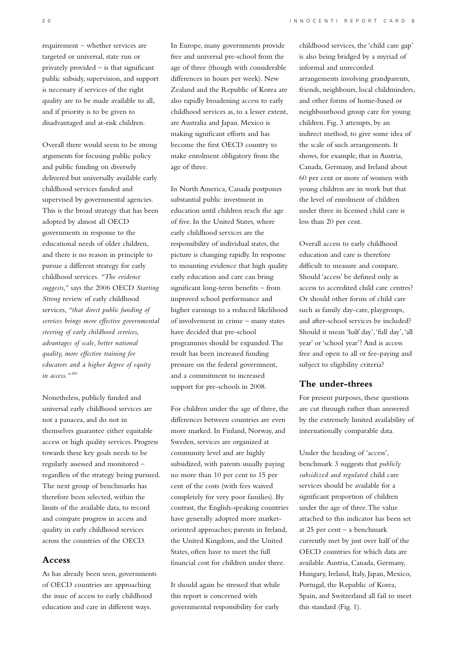requirement – whether services are targeted or universal, state run or privately provided – is that significant public subsidy, supervision, and support is necessary if services of the right quality are to be made available to all, and if priority is to be given to disadvantaged and at-risk children.

Overall there would seem to be strong arguments for focusing public policy and public funding on diversely delivered but universally available early childhood services funded and supervised by governmental agencies. This is the broad strategy that has been adopted by almost all OECD governments in response to the educational needs of older children, and there is no reason in principle to pursue a different strategy for early childhood services. *"The evidence suggests,"* says the 2006 OECD *Starting Strong* review of early childhood services, *"that direct public funding of services brings more effective governmental steering of early childhood services, advantages of scale, better national quality, more effective training for educators and a higher degree of equity in access."*xiv

Nonetheless, publicly funded and universal early childhood services are not a panacea, and do not in themselves guarantee either equitable access or high quality services. Progress towards these key goals needs to be regularly assessed and monitored – regardless of the strategy being pursued. The next group of benchmarks has therefore been selected, within the limits of the available data, to record and compare progress in access and quality in early childhood services across the countries of the OECD.

## **Access**

As has already been seen, governments of OECD countries are approaching the issue of access to early childhood education and care in different ways.

In Europe, many governments provide free and universal pre-school from the age of three (though with considerable differences in hours per week). New Zealand and the Republic of Korea are also rapidly broadening access to early childhood services as, to a lesser extent, are Australia and Japan. Mexico is making significant efforts and has become the first OECD country to make enrolment obligatory from the age of three.

In North America, Canada postpones substantial public investment in education until children reach the age of five. In the United States, where early childhood services are the responsibility of individual states, the picture is changing rapidly. In response to mounting evidence that high quality early education and care can bring significant long-term benefits – from improved school performance and higher earnings to a reduced likelihood of involvement in crime – many states have decided that pre-school programmes should be expanded. The result has been increased funding pressure on the federal government, and a commitment to increased support for pre-schools in 2008.

For children under the age of three, the differences between countries are even more marked. In Finland, Norway, and Sweden, services are organized at community level and are highly subsidized, with parents usually paying no more than 10 per cent to 15 per cent of the costs (with fees waived completely for very poor families). By contrast, the English-speaking countries have generally adopted more marketoriented approaches; parents in Ireland, the United Kingdom, and the United States, often have to meet the full financial cost for children under three.

It should again be stressed that while this report is concerned with governmental responsibility for early

childhood services, the 'child care gap' is also being bridged by a myriad of informal and unrecorded arrangements involving grandparents, friends, neighbours, local childminders, and other forms of home-based or neighbourhood group care for young children. Fig. 3 attempts, by an indirect method, to give some idea of the scale of such arrangements. It shows, for example, that in Austria, Canada, Germany, and Ireland about 60 per cent or more of women with young children are in work but that the level of enrolment of children under three in licensed child care is less than 20 per cent.

Overall access to early childhood education and care is therefore difficult to measure and compare. Should 'access' be defined only as access to accredited child care centres? Or should other forms of child care such as family day-care, playgroups, and after-school services be included? Should it mean 'half day', 'full day', 'all year' or 'school year'? And is access free and open to all or fee-paying and subject to eligibility criteria?

## **The under-threes**

For present purposes, these questions are cut through rather than answered by the extremely limited availability of internationally comparable data.

Under the heading of 'access', benchmark 3 suggests that *publicly subsidized and regulated* child care services should be available for a significant proportion of children under the age of three. The value attached to this indicator has been set at 25 per cent – a benchmark currently met by just over half of the OECD countries for which data are available. Austria, Canada, Germany, Hungary, Ireland, Italy, Japan, Mexico, Portugal, the Republic of Korea, Spain, and Switzerland all fail to meet this standard (Fig. 1).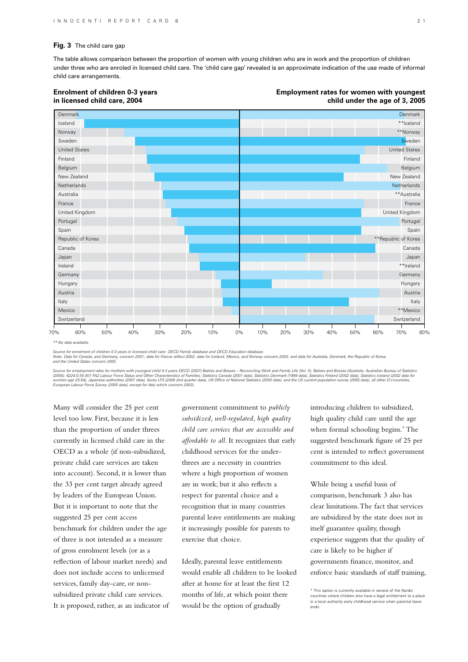#### **Fig. 3** The child care gap

The table allows comparison between the proportion of women with young children who are in work and the proportion of children under three who are enroled in licensed child care. The 'child care gap' revealed is an approximate indication of the use made of informal child care arrangements.

## Iceland **Denmark Enrolment of children 0-3 years in licensed child care, 2004 Employment rates for women with youngest child under the age of 3, 2005**



*\*\* No data available.*

*Source for enrolment of children 0-3 years in licensed child care: OECD Family database and OECD Education database.*

*Note: Data for Canada, and Germany, concern 2001; data for France reflect 2002; data for Iceland, Mexico, and Norway concern 2003; and data for Australia, Denmark, the Republic of Korea, and the United States concern 2005.*

Source for employment rates for mothers with youngest child 0-3 years:OECD (2007) Babies and Bosses – Reconciling Work and Family Life (Vol. 5); Babies and Bosses (Australia, Australian Bureau of Statistics<br>(2005); 6224.0.

Many will consider the 25 per cent level too low. First, because it is less than the proportion of under threes currently in licensed child care in the OECD as a whole (if non-subsidized, private child care services are taken into account). Second, it is lower than the 33 per cent target already agreed by leaders of the European Union. But it is important to note that the suggested 25 per cent access benchmark for children under the age of three is not intended as a measure of gross enrolment levels (or as a reflection of labour market needs) and does not include access to unlicensed services, family day-care, or nonsubsidized private child care services. It is proposed, rather, as an indicator of

government commitment to *publicly subsidized, well-regulated, high quality child care services that are accessible and affordable to all*. It recognizes that early childhood services for the underthrees are a necessity in countries where a high proportion of women are in work; but it also reflects a respect for parental choice and a recognition that in many countries parental leave entitlements are making it increasingly possible for parents to exercise that choice.

Ideally, parental leave entitlements would enable all children to be looked after at home for at least the first 12 months of life, at which point there would be the option of gradually

introducing children to subsidized, high quality child care until the age when formal schooling begins.\* The suggested benchmark figure of 25 per cent is intended to reflect government commitment to this ideal.

While being a useful basis of comparison, benchmark 3 also has clear limitations. The fact that services are subsidized by the state does not in itself guarantee quality, though experience suggests that the quality of care is likely to be higher if governments finance, monitor, and enforce basic standards of staff training,

Denmark

<sup>\*</sup> This option is currently available in several of the Nordic countries where children also have a legal entitlement to a place in a local authority early childhood service when parental leave ends.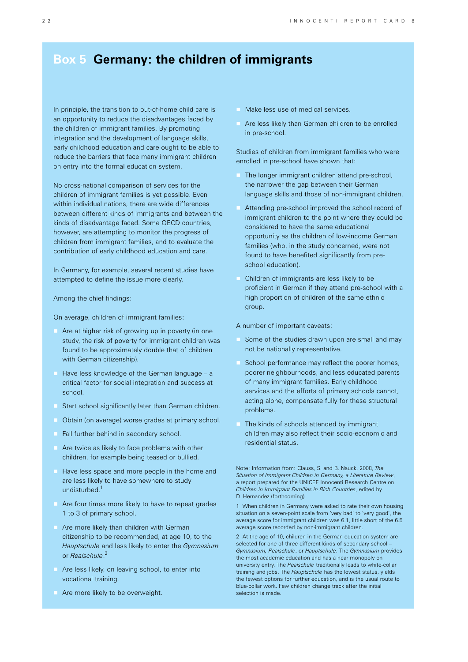# **Box 5 Germany: the children of immigrants**

In principle, the transition to out-of-home child care is an opportunity to reduce the disadvantages faced by the children of immigrant families. By promoting integration and the development of language skills, early childhood education and care ought to be able to reduce the barriers that face many immigrant children on entry into the formal education system.

No cross-national comparison of services for the children of immigrant families is yet possible. Even within individual nations, there are wide differences between different kinds of immigrants and between the kinds of disadvantage faced. Some OECD countries, however, are attempting to monitor the progress of children from immigrant families, and to evaluate the contribution of early childhood education and care.

In Germany, for example, several recent studies have attempted to define the issue more clearly.

Among the chief findings:

On average, children of immigrant families:

- Are at higher risk of growing up in poverty (in one study, the risk of poverty for immigrant children was found to be approximately double that of children with German citizenship).
- $\blacksquare$  Have less knowledge of the German language a critical factor for social integration and success at school.
- Start school significantly later than German children.
- **Obtain (on average) worse grades at primary school.**
- Fall further behind in secondary school.
- Are twice as likely to face problems with other children, for example being teased or bullied.
- Have less space and more people in the home and are less likely to have somewhere to study undisturbed.<sup>1</sup>
- Are four times more likely to have to repeat grades 1 to 3 of primary school.
- **Are more likely than children with German** citizenship to be recommended, at age 10, to the *Hauptschule* and less likely to enter the *Gymnasium*  or *Realschule*. 2
- Are less likely, on leaving school, to enter into vocational training.
- Are more likely to be overweight.
- Make less use of medical services.
- Are less likely than German children to be enrolled in pre-school.

Studies of children from immigrant families who were enrolled in pre-school have shown that:

- The longer immigrant children attend pre-school, the narrower the gap between their German language skills and those of non-immigrant children.
- Attending pre-school improved the school record of immigrant children to the point where they could be considered to have the same educational opportunity as the children of low-income German families (who, in the study concerned, were not found to have benefited significantly from preschool education).
- Children of immigrants are less likely to be proficient in German if they attend pre-school with a high proportion of children of the same ethnic group.

A number of important caveats:

- Some of the studies drawn upon are small and may not be nationally representative.
- School performance may reflect the poorer homes, poorer neighbourhoods, and less educated parents of many immigrant families. Early childhood services and the efforts of primary schools cannot, acting alone, compensate fully for these structural problems.
- The kinds of schools attended by immigrant children may also reflect their socio-economic and residential status.

Note: Information from: Clauss, S. and B. Nauck, 2008, *The Situation of Immigrant Children in Germany, a Literature Review*, a report prepared for the UNICEF Innocenti Research Centre on *Children in Immigrant Families in Rich Countries*, edited by D. Hernandez (forthcoming).

1 When children in Germany were asked to rate their own housing situation on a seven-point scale from 'very bad' to 'very good', the average score for immigrant children was 6.1, little short of the 6.5 average score recorded by non-immigrant children.

2 At the age of 10, children in the German education system are selected for one of three different kinds of secondary school -*Gymnasium, Realschule*, or *Hauptschule*. The *Gymnasium* provides the most academic education and has a near monopoly on university entry. The *Realschule* traditionally leads to white-collar training and jobs. The *Hauptschule* has the lowest status, yields the fewest options for further education, and is the usual route to blue-collar work. Few children change track after the initial selection is made.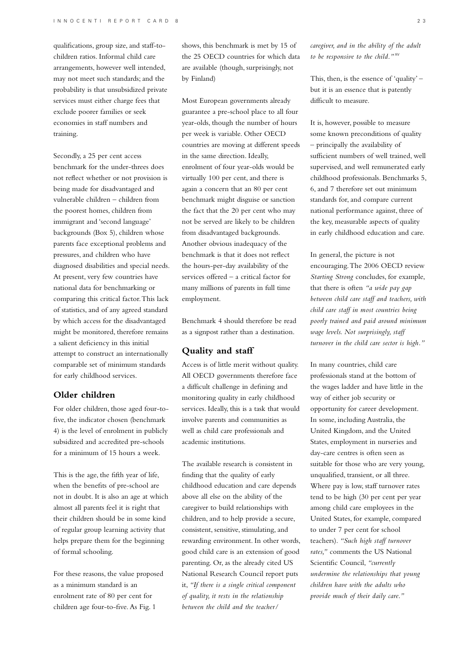qualifications, group size, and staff-tochildren ratios. Informal child care arrangements, however well intended, may not meet such standards; and the probability is that unsubsidized private services must either charge fees that exclude poorer families or seek economies in staff numbers and training.

Secondly, a 25 per cent access benchmark for the under-threes does not reflect whether or not provision is being made for disadvantaged and vulnerable children – children from the poorest homes, children from immigrant and 'second language' backgrounds (Box 5), children whose parents face exceptional problems and pressures, and children who have diagnosed disabilities and special needs. At present, very few countries have national data for benchmarking or comparing this critical factor. This lack of statistics, and of any agreed standard by which access for the disadvantaged might be monitored, therefore remains a salient deficiency in this initial attempt to construct an internationally comparable set of minimum standards for early childhood services.

## **Older children**

For older children, those aged four-tofive, the indicator chosen (benchmark 4) is the level of enrolment in publicly subsidized and accredited pre-schools for a minimum of 15 hours a week.

This is the age, the fifth year of life, when the benefits of pre-school are not in doubt. It is also an age at which almost all parents feel it is right that their children should be in some kind of regular group learning activity that helps prepare them for the beginning of formal schooling.

For these reasons, the value proposed as a minimum standard is an enrolment rate of 80 per cent for children age four-to-five. As Fig. 1

shows, this benchmark is met by 15 of the 25 OECD countries for which data are available (though, surprisingly, not by Finland)

Most European governments already guarantee a pre-school place to all four year-olds, though the number of hours per week is variable. Other OECD countries are moving at different speeds in the same direction. Ideally, enrolment of four year-olds would be virtually 100 per cent, and there is again a concern that an 80 per cent benchmark might disguise or sanction the fact that the 20 per cent who may not be served are likely to be children from disadvantaged backgrounds. Another obvious inadequacy of the benchmark is that it does not reflect the hours-per-day availability of the services offered – a critical factor for many millions of parents in full time employment.

Benchmark 4 should therefore be read as a signpost rather than a destination.

# **Quality and staff**

Access is of little merit without quality. All OECD governments therefore face a difficult challenge in defining and monitoring quality in early childhood services. Ideally, this is a task that would involve parents and communities as well as child care professionals and academic institutions.

The available research is consistent in finding that the quality of early childhood education and care depends above all else on the ability of the caregiver to build relationships with children, and to help provide a secure, consistent, sensitive, stimulating, and rewarding environment. In other words, good child care is an extension of good parenting. Or, as the already cited US National Research Council report puts it, *"If there is a single critical component of quality, it rests in the relationship between the child and the teacher/*

*caregiver, and in the ability of the adult to be responsive to the child."*xv

This, then, is the essence of 'quality' – but it is an essence that is patently difficult to measure.

It is, however, possible to measure some known preconditions of quality – principally the availability of sufficient numbers of well trained, well supervised, and well remunerated early childhood professionals. Benchmarks 5, 6, and 7 therefore set out minimum standards for, and compare current national performance against, three of the key, measurable aspects of quality in early childhood education and care.

In general, the picture is not encouraging. The 2006 OECD review *Starting Strong* concludes, for example, that there is often *"a wide pay gap between child care staff and teachers, with child care staff in most countries being poorly trained and paid around minimum wage levels. Not surprisingly, staff turnover in the child care sector is high."*

In many countries, child care professionals stand at the bottom of the wages ladder and have little in the way of either job security or opportunity for career development. In some, including Australia, the United Kingdom, and the United States, employment in nurseries and day-care centres is often seen as suitable for those who are very young, unqualified, transient, or all three. Where pay is low, staff turnover rates tend to be high (30 per cent per year among child care employees in the United States, for example, compared to under 7 per cent for school teachers). *"Such high staff turnover rates,"* comments the US National Scientific Council, *"currently undermine the relationships that young children have with the adults who provide much of their daily care*.*"*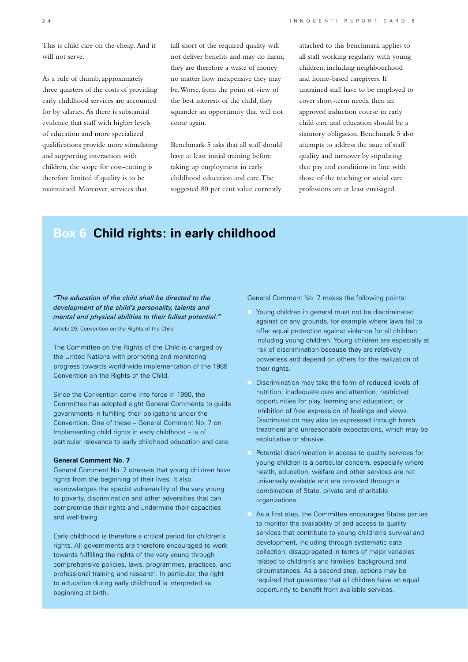This is child care on the cheap. And it will not serve.

As a rule of thumb, approximately three quarters of the costs of providing early childhood services are accounted for by salaries. As there is substantial evidence that staff with higher levels of education and more specialized qualifications provide more stimulating and supporting interaction with children, the scope for cost-cutting is therefore limited if quality is to be maintained. Moreover, services that

fall short of the required quality will not deliver benefits and may do harm; they are therefore a waste of money no matter how inexpensive they may be. Worse, from the point of view of the best interests of the child, they squander an opportunity that will not come again.

Benchmark 5 asks that all staff should have at least initial training before taking up employment in early childhood education and care. The suggested 80 per cent value currently

attached to this benchmark applies to all staff working regularly with young children, including neighbourhood and home-based caregivers. If untrained staff have to be employed to cover short-term needs, then an approved induction course in early child care and education should be a statutory obligation. Benchmark 5 also attempts to address the issue of staff quality and turnover by stipulating that pay and conditions in line with those of the teaching or social care professions are at least envisaged.

# **Box 6 Child rights: in early childhood**

*"The education of the child shall be directed to the development of the child's personality, talents and mental and physical abilities to their fullest potential."* Article 29, Convention on the Rights of the Child

The Committee on the Rights of the Child is charged by the United Nations with promoting and monitoring progress towards world-wide implementation of the 1989 Convention on the Rights of the Child.

Since the Convention came into force in 1990, the Committee has adopted eight General Comments to guide governments in fulfilling their obligations under the Convention. One of these – General Comment No. 7 on Implementing child rights in early childhood – is of particular relevance to early childhood education and care.

## **General Comment No. 7**

General Comment No. 7 stresses that young children have rights from the beginning of their lives. It also acknowledges the special vulnerability of the very young to poverty, discrimination and other adversities that can compromise their rights and undermine their capacities and well-being.

Early childhood is therefore a critical period for children's rights. All governments are therefore encouraged to work towards fulfilling the rights of the very young through comprehensive policies, laws, programmes, practices, and professional training and research. In particular, the right to education during early childhood is interpreted as beginning at birth.

General Comment No. 7 makes the following points:

- Young children in general must not be discriminated against on any grounds, for example where laws fail to offer equal protection against violence for all children, including young children. Young children are especially at risk of discrimination because they are relatively powerless and depend on others for the realization of their rights.
- Discrimination may take the form of reduced levels of nutrition; inadequate care and attention; restricted opportunities for play, learning and education; or inhibition of free expression of feelings and views. Discrimination may also be expressed through harsh treatment and unreasonable expectations, which may be exploitative or abusive.
- Potential discrimination in access to quality services for young children is a particular concern, especially where health, education, welfare and other services are not universally available and are provided through a combination of State, private and charitable organizations.
- As a first step, the Committee encourages States parties to monitor the availability of and access to quality services that contribute to young children's survival and development, including through systematic data collection, disaggregated in terms of major variables related to children's and families' background and circumstances. As a second step, actions may be required that guarantee that all children have an equal opportunity to benefit from available services.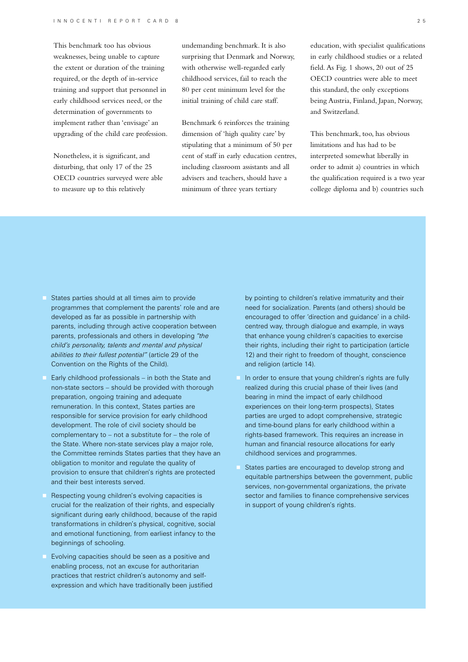This benchmark too has obvious weaknesses, being unable to capture the extent or duration of the training required, or the depth of in-service training and support that personnel in early childhood services need, or the determination of governments to implement rather than 'envisage' an upgrading of the child care profession.

Nonetheless, it is significant, and disturbing, that only 17 of the 25 OECD countries surveyed were able to measure up to this relatively

undemanding benchmark. It is also surprising that Denmark and Norway, with otherwise well-regarded early childhood services, fail to reach the 80 per cent minimum level for the initial training of child care staff.

Benchmark 6 reinforces the training dimension of 'high quality care' by stipulating that a minimum of 50 per cent of staff in early education centres, including classroom assistants and all advisers and teachers, should have a minimum of three years tertiary

education, with specialist qualifications in early childhood studies or a related field. As Fig. 1 shows, 20 out of 25 OECD countries were able to meet this standard, the only exceptions being Austria, Finland, Japan, Norway, and Switzerland.

This benchmark, too, has obvious limitations and has had to be interpreted somewhat liberally in order to admit a) countries in which the qualification required is a two year college diploma and b) countries such

- States parties should at all times aim to provide programmes that complement the parents' role and are developed as far as possible in partnership with parents, including through active cooperation between parents, professionals and others in developing *"the child's personality, talents and mental and physical abilities to their fullest potential"* (article 29 of the Convention on the Rights of the Child).
- Early childhood professionals in both the State and non-state sectors – should be provided with thorough preparation, ongoing training and adequate remuneration. In this context, States parties are responsible for service provision for early childhood development. The role of civil society should be complementary to – not a substitute for – the role of the State. Where non-state services play a major role, the Committee reminds States parties that they have an obligation to monitor and regulate the quality of provision to ensure that children's rights are protected and their best interests served.
- Respecting young children's evolving capacities is crucial for the realization of their rights, and especially significant during early childhood, because of the rapid transformations in children's physical, cognitive, social and emotional functioning, from earliest infancy to the beginnings of schooling.
- Evolving capacities should be seen as a positive and enabling process, not an excuse for authoritarian practices that restrict children's autonomy and selfexpression and which have traditionally been justified

by pointing to children's relative immaturity and their need for socialization. Parents (and others) should be encouraged to offer 'direction and guidance' in a childcentred way, through dialogue and example, in ways that enhance young children's capacities to exercise their rights, including their right to participation (article 12) and their right to freedom of thought, conscience and religion (article 14).

- In order to ensure that young children's rights are fully realized during this crucial phase of their lives (and bearing in mind the impact of early childhood experiences on their long-term prospects), States parties are urged to adopt comprehensive, strategic and time-bound plans for early childhood within a rights-based framework. This requires an increase in human and financial resource allocations for early childhood services and programmes.
- States parties are encouraged to develop strong and equitable partnerships between the government, public services, non-governmental organizations, the private sector and families to finance comprehensive services in support of young children's rights.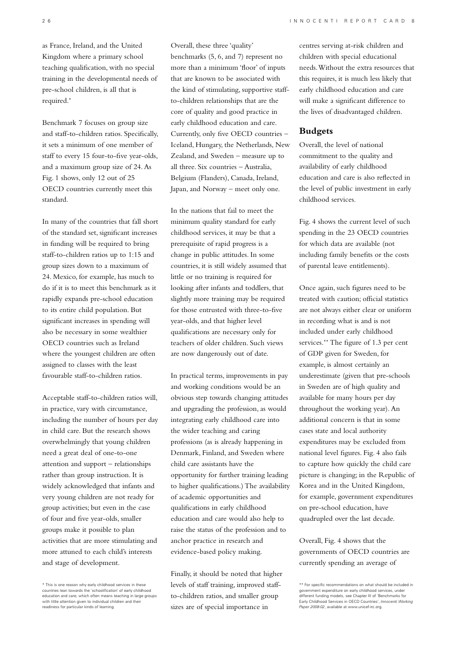as France, Ireland, and the United Kingdom where a primary school teaching qualification, with no special training in the developmental needs of pre-school children, is all that is required.\*

Benchmark 7 focuses on group size and staff-to-children ratios. Specifically, it sets a minimum of one member of staff to every 15 four-to-five year-olds, and a maximum group size of 24. As Fig. 1 shows, only 12 out of 25 OECD countries currently meet this standard.

In many of the countries that fall short of the standard set, significant increases in funding will be required to bring staff-to-children ratios up to 1:15 and group sizes down to a maximum of 24. Mexico, for example, has much to do if it is to meet this benchmark as it rapidly expands pre-school education to its entire child population. But significant increases in spending will also be necessary in some wealthier OECD countries such as Ireland where the youngest children are often assigned to classes with the least favourable staff-to-children ratios.

Acceptable staff-to-children ratios will, in practice, vary with circumstance, including the number of hours per day in child care. But the research shows overwhelmingly that young children need a great deal of one-to-one attention and support – relationships rather than group instruction. It is widely acknowledged that infants and very young children are not ready for group activities; but even in the case of four and five year-olds, smaller groups make it possible to plan activities that are more stimulating and more attuned to each child's interests and stage of development.

Overall, these three 'quality' benchmarks (5, 6, and 7) represent no more than a minimum 'floor' of inputs that are known to be associated with the kind of stimulating, supportive staffto-children relationships that are the core of quality and good practice in early childhood education and care. Currently, only five OECD countries – Iceland, Hungary, the Netherlands, New Zealand, and Sweden – measure up to all three. Six countries – Australia, Belgium (Flanders), Canada, Ireland, Japan, and Norway – meet only one.

In the nations that fail to meet the minimum quality standard for early childhood services, it may be that a prerequisite of rapid progress is a change in public attitudes. In some countries, it is still widely assumed that little or no training is required for looking after infants and toddlers, that slightly more training may be required for those entrusted with three-to-five year-olds, and that higher level qualifications are necessary only for teachers of older children. Such views are now dangerously out of date.

In practical terms, improvements in pay and working conditions would be an obvious step towards changing attitudes and upgrading the profession, as would integrating early childhood care into the wider teaching and caring professions (as is already happening in Denmark, Finland, and Sweden where child care assistants have the opportunity for further training leading to higher qualifications.) The availability of academic opportunities and qualifications in early childhood education and care would also help to raise the status of the profession and to anchor practice in research and evidence-based policy making.

Finally, it should be noted that higher levels of staff training, improved staffto-children ratios, and smaller group sizes are of special importance in

centres serving at-risk children and children with special educational needs. Without the extra resources that this requires, it is much less likely that early childhood education and care will make a significant difference to the lives of disadvantaged children.

## **Budgets**

Overall, the level of national commitment to the quality and availability of early childhood education and care is also reflected in the level of public investment in early childhood services.

Fig. 4 shows the current level of such spending in the 23 OECD countries for which data are available (not including family benefits or the costs of parental leave entitlements).

Once again, such figures need to be treated with caution; official statistics are not always either clear or uniform in recording what is and is not included under early childhood services.\*\* The figure of 1.3 per cent of GDP given for Sweden, for example, is almost certainly an underestimate (given that pre-schools in Sweden are of high quality and available for many hours per day throughout the working year). An additional concern is that in some cases state and local authority expenditures may be excluded from national level figures. Fig. 4 also fails to capture how quickly the child care picture is changing; in the Republic of Korea and in the United Kingdom, for example, government expenditures on pre-school education, have quadrupled over the last decade.

Overall, Fig. 4 shows that the governments of OECD countries are currently spending an average of

<sup>\*</sup> This is one reason why early childhood services in these countries lean towards the 'schoolification' of early childhood education and care, which often means teaching in large groups with little attention given to individual children and their readiness for particular kinds of learning.

<sup>\*\*</sup> For specific recommendations on what should be included in government expenditure on early childhood services, under different funding models, see Chapter III of 'Benchmarks for Early Childhood Services in OECD Countries', *Innocenti Working Paper 2008-02*, available at www.unicef-irc.org.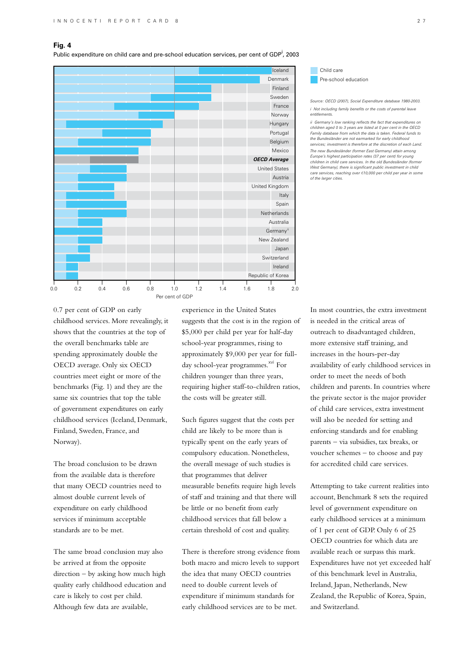## **Fig. 4**

Public expenditure on child care and pre-school education services, per cent of GDP<sup>i</sup>, 2003



#### Child care Child care Pre-school education Pre-school education

*Source: OECD (2007), Social Expenditure database 1980-2003. i Not including family benefits or the costs of parental leave entitlements.*

*ii Germany's low ranking reflects the fact that expenditures on children aged 0 to 3 years are listed at 0 per cent in the OECD Family database from which the data is taken. Federal funds to*  the Bundesländer are not earmarked for early childho *services; investment is therefore at the discretion of each Land. The new Bundesländer (former East Germany) attain among Europe's highest participation rates (37 per cent) for young children in child care services. In the old Bundesländer (former West Germany), there is significant public investment in child care services, reaching over* B*10,000 per child per year in some of the larger cities.*

0.7 per cent of GDP on early childhood services. More revealingly, it shows that the countries at the top of the overall benchmarks table are spending approximately double the OECD average. Only six OECD countries meet eight or more of the benchmarks (Fig. 1) and they are the same six countries that top the table of government expenditures on early childhood services (Iceland, Denmark, Finland, Sweden, France, and Norway).

The broad conclusion to be drawn from the available data is therefore that many OECD countries need to almost double current levels of expenditure on early childhood services if minimum acceptable standards are to be met.

The same broad conclusion may also be arrived at from the opposite direction – by asking how much high quality early childhood education and care is likely to cost per child. Although few data are available,

experience in the United States suggests that the cost is in the region of \$5,000 per child per year for half-day school-year programmes, rising to approximately \$9,000 per year for fullday school-year programmes.<sup>xvi</sup> For children younger than three years, requiring higher staff-to-children ratios, the costs will be greater still.

Such figures suggest that the costs per child are likely to be more than is typically spent on the early years of compulsory education. Nonetheless, the overall message of such studies is that programmes that deliver measurable benefits require high levels of staff and training and that there will be little or no benefit from early childhood services that fall below a certain threshold of cost and quality.

There is therefore strong evidence from both macro and micro levels to support the idea that many OECD countries need to double current levels of expenditure if minimum standards for early childhood services are to be met.

In most countries, the extra investment is needed in the critical areas of outreach to disadvantaged children, more extensive staff training, and increases in the hours-per-day availability of early childhood services in order to meet the needs of both children and parents. In countries where the private sector is the major provider of child care services, extra investment will also be needed for setting and enforcing standards and for enabling parents – via subsidies, tax breaks, or voucher schemes – to choose and pay for accredited child care services.

Attempting to take current realities into account, Benchmark 8 sets the required level of government expenditure on early childhood services at a minimum of 1 per cent of GDP. Only 6 of 25 OECD countries for which data are available reach or surpass this mark. Expenditures have not yet exceeded half of this benchmark level in Australia, Ireland, Japan, Netherlands, New Zealand, the Republic of Korea, Spain, and Switzerland.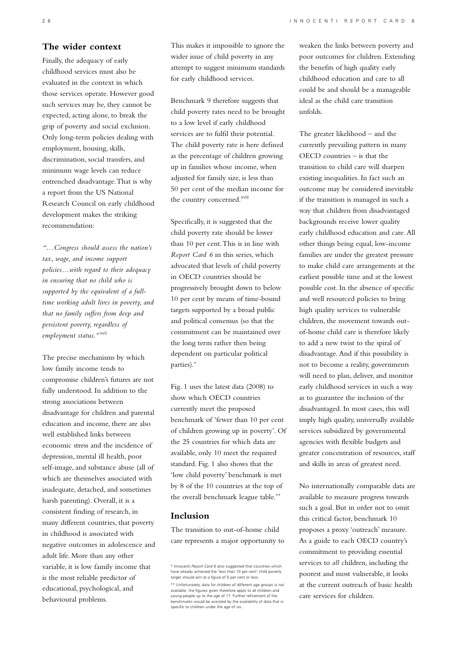# **The wider context**

Finally, the adequacy of early childhood services must also be evaluated in the context in which those services operate. However good such services may be, they cannot be expected, acting alone, to break the grip of poverty and social exclusion. Only long-term policies dealing with employment, housing, skills, discrimination, social transfers, and minimum wage levels can reduce entrenched disadvantage. That is why a report from the US National Research Council on early childhood development makes the striking recommendation:

*"…Congress should assess the nation's tax, wage, and income support policies…with regard to their adequacy in ensuring that no child who is supported by the equivalent of a fulltime working adult lives in poverty, and that no family suffers from deep and persistent poverty, regardless of employment status."*xvii

The precise mechanisms by which low family income tends to compromise children's futures are not fully understood. In addition to the strong associations between disadvantage for children and parental education and income, there are also well established links between economic stress and the incidence of depression, mental ill health, poor self-image, and substance abuse (all of which are themselves associated with inadequate, detached, and sometimes harsh parenting). Overall, it is a consistent finding of research, in many different countries, that poverty in childhood is associated with negative outcomes in adolescence and adult life. More than any other variable, it is low family income that is the most reliable predictor of educational, psychological, and behavioural problems.

This makes it impossible to ignore the wider issue of child poverty in any attempt to suggest minimum standards for early childhood services.

Benchmark 9 therefore suggests that child poverty rates need to be brought to a low level if early childhood services are to fulfil their potential. The child poverty rate is here defined as the percentage of children growing up in families whose income, when adjusted for family size, is less than 50 per cent of the median income for the country concerned.<sup>xviii</sup>

Specifically, it is suggested that the child poverty rate should be lower than 10 per cent. This is in line with *Report Card 6* in this series, which advocated that levels of child poverty in OECD countries should be progressively brought down to below 10 per cent by means of time-bound targets supported by a broad public and political consensus (so that the commitment can be maintained over the long term rather then being dependent on particular political parties).\*

Fig. 1 uses the latest data (2008) to show which OECD countries currently meet the proposed benchmark of 'fewer than 10 per cent of children growing up in poverty'. Of the 25 countries for which data are available, only 10 meet the required standard. Fig. 1 also shows that the 'low child poverty' benchmark is met by 8 of the 10 countries at the top of the overall benchmark league table.\*\*

# **Inclusion**

The transition to out-of-home child care represents a major opportunity to

weaken the links between poverty and poor outcomes for children. Extending the benefits of high quality early childhood education and care to all could be and should be a manageable ideal as the child care transition unfolds.

The greater likelihood – and the currently prevailing pattern in many OECD countries – is that the transition to child care will sharpen existing inequalities. In fact such an outcome may be considered inevitable if the transition is managed in such a way that children from disadvantaged backgrounds receive lower quality early childhood education and care. All other things being equal, low-income families are under the greatest pressure to make child care arrangements at the earliest possible time and at the lowest possible cost. In the absence of specific and well resourced policies to bring high quality services to vulnerable children, the movement towards outof-home child care is therefore likely to add a new twist to the spiral of disadvantage. And if this possibility is not to become a reality, governments will need to plan, deliver, and monitor early childhood services in such a way as to guarantee the inclusion of the disadvantaged. In most cases, this will imply high quality, universally available services subsidized by governmental agencies with flexible budgets and greater concentration of resources, staff and skills in areas of greatest need.

No internationally comparable data are available to measure progress towards such a goal. But in order not to omit this critical factor, benchmark 10 proposes a proxy 'outreach' measure. As a guide to each OECD country's commitment to providing essential services to *all* children, including the poorest and most vulnerable, it looks at the current outreach of basic health care services for children.

<sup>\*</sup> Innocenti *Report Card 6* also suggested that countries which have already achieved the 'less than 10 per cent' child poverty target should aim at a figure of 5 per cent or less.

<sup>\*\*</sup> Unfortunately, data for children of different age groups is not available; the figures given therefore apply to all children and young people up to the age of 17. Further refinement of the benchmarks would be assisted by the availability of data that is specific to children under the age of six.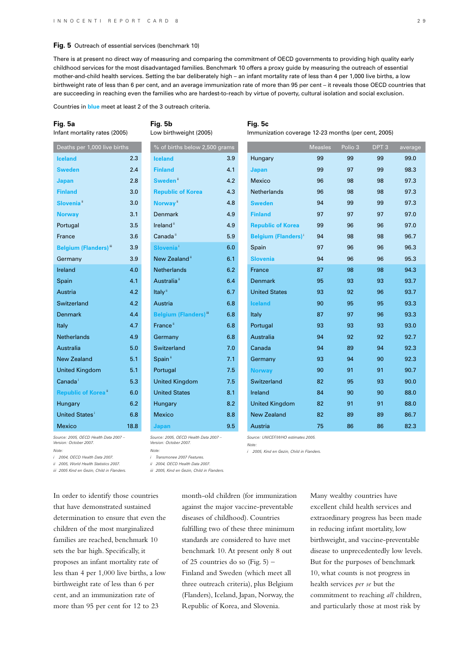#### **Fig. 5** Outreach of essential services (benchmark 10)

There is at present no direct way of measuring and comparing the commitment of OECD governments to providing high quality early childhood services for the most disadvantaged families. Benchmark 10 offers a proxy guide by measuring the outreach of essential mother-and-child health services. Setting the bar deliberately high – an infant mortality rate of less than 4 per 1,000 live births, a low birthweight rate of less than 6 per cent, and an average immunization rate of more than 95 per cent – it reveals those OECD countries that are succeeding in reaching even the families who are hardest-to-reach by virtue of poverty, cultural isolation and social exclusion.

Countries in **blue** meet at least 2 of the 3 outreach criteria.

#### **Fig. 5a**

Infant mortality rates (2005)

**Fig. 5b** Low birthweight (2005)

## **Fig. 5c**

Immunization coverage 12-23 months (per cent, 2005)

| Deaths per 1,000 live births             |      | % of births below 2,500 grams            |     |                           | <b>Measles</b> | Polio 3 | DPT <sub>3</sub> | avera |
|------------------------------------------|------|------------------------------------------|-----|---------------------------|----------------|---------|------------------|-------|
| <b>Iceland</b>                           | 2.3  | <b>Iceland</b>                           | 3.9 | Hungary                   | 99             | 99      | 99               | 99.C  |
| <b>Sweden</b>                            | 2.4  | <b>Finland</b>                           | 4.1 | Japan                     | 99             | 97      | 99               | 98.3  |
| Japan                                    | 2.8  | Sweden <sup>"</sup>                      | 4.2 | Mexico                    | 96             | 98      | 98               | 97.3  |
| <b>Finland</b>                           | 3.0  | <b>Republic of Korea</b>                 | 4.3 | Netherlands               | 96             | 98      | 98               | 97.3  |
| Slovenia <sup>"</sup>                    | 3.0  | Norway <sup>"</sup>                      | 4.8 | <b>Sweden</b>             | 94             | 99      | 99               | 97.3  |
| <b>Norway</b>                            | 3.1  | <b>Denmark</b>                           | 4.9 | <b>Finland</b>            | 97             | 97      | 97               | 97.0  |
| Portugal                                 | 3.5  | Ireland <sup>ii</sup>                    | 4.9 | <b>Republic of Korea</b>  | 99             | 96      | 96               | 97.0  |
| France                                   | 3.6  | Canada <sup>ii</sup>                     | 5.9 | <b>Belgium (Flanders)</b> | 94             | 98      | 98               | 96.7  |
| <b>Belgium (Flanders)</b> <sup>iii</sup> | 3.9  | <b>Slovenia</b> <sup>i</sup>             | 6.0 | Spain                     | 97             | 96      | 96               | 96.3  |
| Germany                                  | 3.9  | New Zealand <sup>"</sup>                 | 6.1 | <b>Slovenia</b>           | 94             | 96      | 96               | 95.3  |
| Ireland                                  | 4.0  | Netherlands                              | 6.2 | France                    | 87             | 98      | 98               | 94.3  |
| Spain                                    | 4.1  | Australia <sup>"</sup>                   | 6.4 | <b>Denmark</b>            | 95             | 93      | 93               | 93.7  |
| Austria                                  | 4.2  | Italy <sup>ii</sup>                      | 6.7 | <b>United States</b>      | 93             | 92      | 96               | 93.7  |
| Switzerland                              | 4.2  | Austria                                  | 6.8 | <b>Iceland</b>            | 90             | 95      | 95               | 93.3  |
| <b>Denmark</b>                           | 4.4  | <b>Belgium (Flanders)</b> <sup>iii</sup> | 6.8 | Italy                     | 87             | 97      | 96               | 93.3  |
| Italy                                    | 4.7  | France <sup>ii</sup>                     | 6.8 | Portugal                  | 93             | 93      | 93               | 93.0  |
| <b>Netherlands</b>                       | 4.9  | Germany                                  | 6.8 | Australia                 | 94             | 92      | 92               | 92.7  |
| Australia                                | 5.0  | Switzerland                              | 7.0 | Canada                    | 94             | 89      | 94               | 92.3  |
| <b>New Zealand</b>                       | 5.1  | Spain <sup>"</sup>                       | 7.1 | Germany                   | 93             | 94      | 90               | 92.3  |
| <b>United Kingdom</b>                    | 5.1  | Portugal                                 | 7.5 | <b>Norway</b>             | 90             | 91      | 91               | 90.7  |
| Canada <sup>i</sup>                      | 5.3  | <b>United Kingdom</b>                    | 7.5 | Switzerland               | 82             | 95      | 93               | 90.0  |
| <b>Republic of Korea</b> "               | 6.0  | <b>United States</b>                     | 8.1 | Ireland                   | 84             | 90      | 90               | 88.0  |
| Hungary                                  | 6.2  | Hungary                                  | 8.2 | <b>United Kingdom</b>     | 82             | 91      | 91               | 88.0  |
| United States <sup>1</sup>               | 6.8  | <b>Mexico</b>                            | 8.8 | <b>New Zealand</b>        | 82             | 89      | 89               | 86.7  |
| Mexico                                   | 18.8 | Japan                                    | 9.5 | Austria                   | 75             | 86      | 86               | 82.3  |
|                                          |      |                                          |     |                           |                |         |                  |       |

*Source: 2005, OECD Health Data 2007 – Version: October 2007.*

*Note:*

*i 2004, OECD Health Data 2007. ii 2005, World Health Statistics 2007.*

*iii 2005 Kind en Gezin, Child in Flanders.*

In order to identify those countries that have demonstrated sustained determination to ensure that even the children of the most marginalized families are reached, benchmark 10 sets the bar high. Specifically, it proposes an infant mortality rate of less than 4 per 1,000 live births, a low birthweight rate of less than 6 per cent, and an immunization rate of more than 95 per cent for 12 to 23

*Version: October 2007. Note:*

*i Transmonee 2007 Features.*

*ii 2004, OECD Health Data 2007.*

*iii 2005, Kind en Gezin, Child in Flanders.*

*Source: 2005, OECD Health Data 2007 –* 

month-old children (for immunization against the major vaccine-preventable diseases of childhood). Countries fulfilling two of these three minimum standards are considered to have met benchmark 10. At present only 8 out of 25 countries do so (Fig. 5) – Finland and Sweden (which meet all three outreach criteria), plus Belgium (Flanders), Iceland, Japan, Norway, the Republic of Korea, and Slovenia.

*Source: UNICEF/WHO estimates 2005.*

*i 2005, Kind en Gezin, Child in Flanders.*

*Note:*

Many wealthy countries have excellent child health services and extraordinary progress has been made in reducing infant mortality, low birthweight, and vaccine-preventable disease to unprecedentedly low levels. But for the purposes of benchmark 10, what counts is not progress in health services *per se* but the commitment to reaching *all* children, and particularly those at most risk by

verage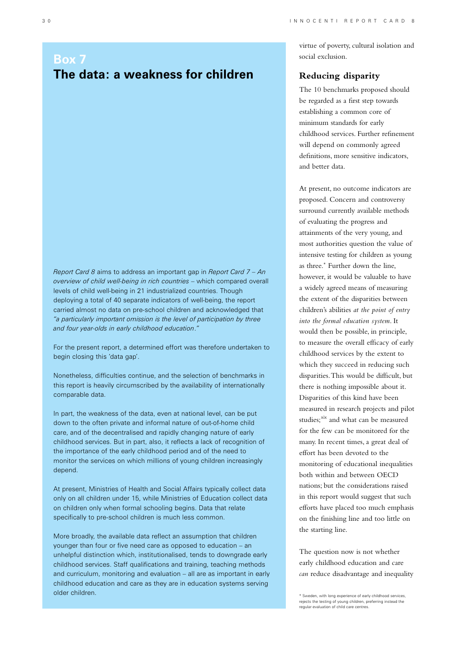# **Box 7 The data: a weakness for children**

*Report Card 8* aims to address an important gap in *Report Card 7 – An overview of child well-being in rich countries* – which compared overall levels of child well-being in 21 industrialized countries. Though deploying a total of 40 separate indicators of well-being, the report carried almost no data on pre-school children and acknowledged that *"a particularly important omission is the level of participation by three and four year-olds in early childhood education*.*"*

For the present report, a determined effort was therefore undertaken to begin closing this 'data gap'.

Nonetheless, difficulties continue, and the selection of benchmarks in this report is heavily circumscribed by the availability of internationally comparable data.

In part, the weakness of the data, even at national level, can be put down to the often private and informal nature of out-of-home child care, and of the decentralised and rapidly changing nature of early childhood services. But in part, also, it reflects a lack of recognition of the importance of the early childhood period and of the need to monitor the services on which millions of young children increasingly depend.

At present, Ministries of Health and Social Affairs typically collect data only on all children under 15, while Ministries of Education collect data on children only when formal schooling begins. Data that relate specifically to pre-school children is much less common.

More broadly, the available data reflect an assumption that children younger than four or five need care as opposed to education – an unhelpful distinction which, institutionalised, tends to downgrade early childhood services. Staff qualifications and training, teaching methods and curriculum, monitoring and evaluation – all are as important in early childhood education and care as they are in education systems serving older children.

virtue of poverty, cultural isolation and social exclusion.

# **Reducing disparity**

The 10 benchmarks proposed should be regarded as a first step towards establishing a common core of minimum standards for early childhood services. Further refinement will depend on commonly agreed definitions, more sensitive indicators, and better data.

At present, no outcome indicators are proposed. Concern and controversy surround currently available methods of evaluating the progress and attainments of the very young, and most authorities question the value of intensive testing for children as young as three.\* Further down the line, however, it would be valuable to have a widely agreed means of measuring the extent of the disparities between children's abilities *at the point of entry into the formal education system*. It would then be possible, in principle, to measure the overall efficacy of early childhood services by the extent to which they succeed in reducing such disparities. This would be difficult, but there is nothing impossible about it. Disparities of this kind have been measured in research projects and pilot studies:<sup>xix</sup> and what can be measured for the few can be monitored for the many. In recent times, a great deal of effort has been devoted to the monitoring of educational inequalities both within and between OECD nations; but the considerations raised in this report would suggest that such efforts have placed too much emphasis on the finishing line and too little on the starting line.

The question now is not whether early childhood education and care *can* reduce disadvantage and inequality

<sup>\*</sup> Sweden, with long experience of early childhood services, rejects the testing of young children, preferring instead the regular evaluation of child care centres.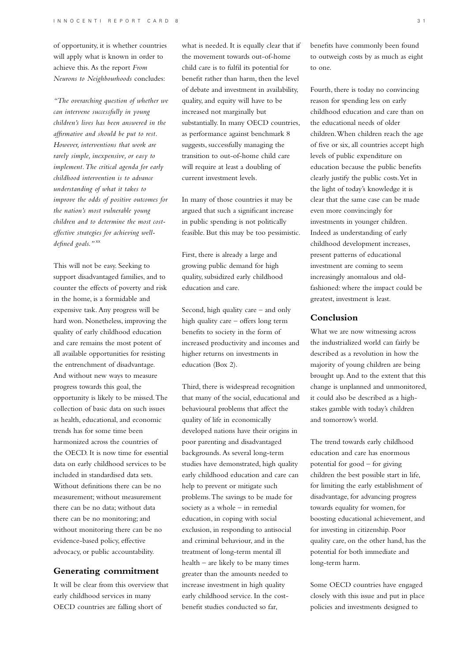of opportunity, it is whether countries will apply what is known in order to achieve this. As the report *From Neurons to Neighbourhoods* concludes:

*"The overarching question of whether we can intervene successfully in young children's lives has been answered in the affirmative and should be put to rest. However, interventions that work are rarely simple, inexpensive, or easy to implement. The critical agenda for early childhood intervention is to advance understanding of what it takes to improve the odds of positive outcomes for the nation's most vulnerable young children and to determine the most costeffective strategies for achieving welldefined goals."* xx

This will not be easy. Seeking to support disadvantaged families, and to counter the effects of poverty and risk in the home, is a formidable and expensive task. Any progress will be hard won. Nonetheless, improving the quality of early childhood education and care remains the most potent of all available opportunities for resisting the entrenchment of disadvantage. And without new ways to measure progress towards this goal, the opportunity is likely to be missed. The collection of basic data on such issues as health, educational, and economic trends has for some time been harmonized across the countries of the OECD. It is now time for essential data on early childhood services to be included in standardised data sets. Without definitions there can be no measurement; without measurement there can be no data; without data there can be no monitoring; and without monitoring there can be no evidence-based policy, effective advocacy, or public accountability.

## **Generating commitment**

It will be clear from this overview that early childhood services in many OECD countries are falling short of

what is needed. It is equally clear that if the movement towards out-of-home child care is to fulfil its potential for benefit rather than harm, then the level of debate and investment in availability, quality, and equity will have to be increased not marginally but substantially. In many OECD countries, as performance against benchmark 8 suggests, successfully managing the transition to out-of-home child care will require at least a doubling of current investment levels.

In many of those countries it may be argued that such a significant increase in public spending is not politically feasible. But this may be too pessimistic.

First, there is already a large and growing public demand for high quality, subsidized early childhood education and care.

Second, high quality care – and only high quality care – offers long term benefits to society in the form of increased productivity and incomes and higher returns on investments in education (Box 2).

Third, there is widespread recognition that many of the social, educational and behavioural problems that affect the quality of life in economically developed nations have their origins in poor parenting and disadvantaged backgrounds. As several long-term studies have demonstrated, high quality early childhood education and care can help to prevent or mitigate such problems. The savings to be made for society as a whole – in remedial education, in coping with social exclusion, in responding to antisocial and criminal behaviour, and in the treatment of long-term mental ill health – are likely to be many times greater than the amounts needed to increase investment in high quality early childhood service. In the costbenefit studies conducted so far,

benefits have commonly been found to outweigh costs by as much as eight to one.

Fourth, there is today no convincing reason for spending less on early childhood education and care than on the educational needs of older children. When children reach the age of five or six, all countries accept high levels of public expenditure on education because the public benefits clearly justify the public costs. Yet in the light of today's knowledge it is clear that the same case can be made even more convincingly for investments in younger children. Indeed as understanding of early childhood development increases, present patterns of educational investment are coming to seem increasingly anomalous and oldfashioned: where the impact could be greatest, investment is least.

## **Conclusion**

What we are now witnessing across the industrialized world can fairly be described as a revolution in how the majority of young children are being brought up. And to the extent that this change is unplanned and unmonitored, it could also be described as a highstakes gamble with today's children and tomorrow's world.

The trend towards early childhood education and care has enormous potential for good – for giving children the best possible start in life, for limiting the early establishment of disadvantage, for advancing progress towards equality for women, for boosting educational achievement, and for investing in citizenship. Poor quality care, on the other hand, has the potential for both immediate and long-term harm.

Some OECD countries have engaged closely with this issue and put in place policies and investments designed to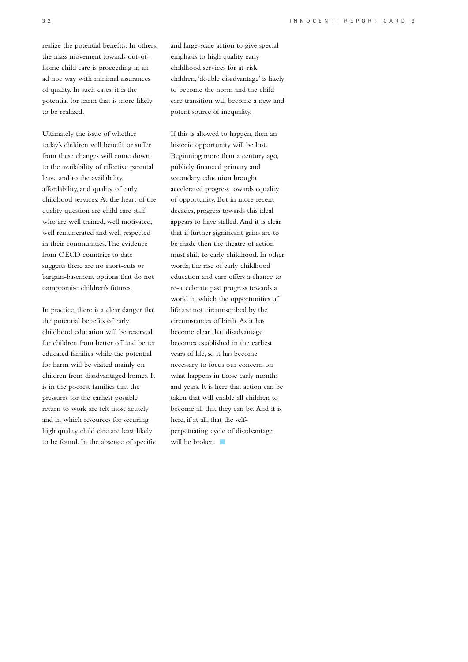realize the potential benefits. In others, the mass movement towards out-ofhome child care is proceeding in an ad hoc way with minimal assurances of quality. In such cases, it is the potential for harm that is more likely to be realized.

Ultimately the issue of whether today's children will benefit or suffer from these changes will come down to the availability of effective parental leave and to the availability, affordability, and quality of early childhood services. At the heart of the quality question are child care staff who are well trained, well motivated, well remunerated and well respected in their communities. The evidence from OECD countries to date suggests there are no short-cuts or bargain-basement options that do not compromise children's futures.

In practice, there is a clear danger that the potential benefits of early childhood education will be reserved for children from better off and better educated families while the potential for harm will be visited mainly on children from disadvantaged homes. It is in the poorest families that the pressures for the earliest possible return to work are felt most acutely and in which resources for securing high quality child care are least likely to be found. In the absence of specific

and large-scale action to give special emphasis to high quality early childhood services for at-risk children, 'double disadvantage' is likely to become the norm and the child care transition will become a new and potent source of inequality.

If this is allowed to happen, then an historic opportunity will be lost. Beginning more than a century ago, publicly financed primary and secondary education brought accelerated progress towards equality of opportunity. But in more recent decades, progress towards this ideal appears to have stalled. And it is clear that if further significant gains are to be made then the theatre of action must shift to early childhood. In other words, the rise of early childhood education and care offers a chance to re-accelerate past progress towards a world in which the opportunities of life are not circumscribed by the circumstances of birth. As it has become clear that disadvantage becomes established in the earliest years of life, so it has become necessary to focus our concern on what happens in those early months and years. It is here that action can be taken that will enable all children to become all that they can be. And it is here, if at all, that the selfperpetuating cycle of disadvantage will be broken.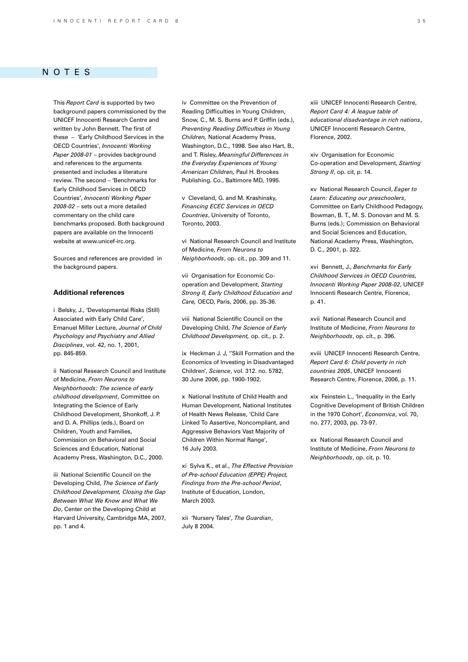## notes

This *Report Card* is supported by two background papers commissioned by the UNICEF Innocenti Research Centre and written by John Bennett. The first of these – 'Early Childhood Services in the OECD Countries', *Innocenti Working Paper 2008-01* – provides background and references to the arguments presented and includes a literature review. The second – 'Benchmarks for Early Childhood Services in OECD Countries', *Innocenti Working Paper 2008-02* – sets out a more detailed commentary on the child care benchmarks proposed. Both background papers are available on the Innocenti website at www.unicef-irc.org.

Sources and references are provided in the background papers.

## **Additional references**

i Belsky, J., 'Developmental Risks (Still) Associated with Early Child Care', Emanuel Miller Lecture, *Journal of Child Psychology and Psychiatry and Allied Disciplines*, vol. 42, no. 1, 2001, pp. 845-859.

ii National Research Council and Institute of Medicine, *From Neurons to Neighborhoods: The science of early childhood development*, Committee on Integrating the Science of Early Childhood Development, Shonkoff, J. P. and D. A. Phillips (eds.), Board on Children, Youth and Families, Commission on Behavioral and Social Sciences and Education, National Academy Press, Washington, D.C., 2000.

iii National Scientific Council on the Developing Child, *The Science of Early Childhood Development, Closing the Gap Between What We Know and What We Do*, Center on the Developing Child at Harvard University, Cambridge MA, 2007, pp. 1 and 4.

iv Committee on the Prevention of Reading Difficulties in Young Children, Snow, C., M. S. Burns and P. Griffin (eds.), *Preventing Reading Difficulties in Young Children,* National Academy Press, Washington, D.C., 1998. See also Hart, B., and T. Risley, *Meaningful Differences in the Everyday Experiences of Young American Children,* Paul H. Brookes Publishing. Co., Baltimore MD, 1995.

v Cleveland, G. and M. Krashinsky, *Financing ECEC Services in OECD Countries*, University of Toronto, Toronto, 2003.

vi National Research Council and Institute of Medicine, *From Neurons to Neighborhoods*, op. cit., pp. 309 and 11.

vii Organisation for Economic Cooperation and Development, *Starting Strong II, Early Childhood Education and Care,* OECD, Paris, 2006, pp. 35-36.

viii National Scientific Council on the Developing Child, *The Science of Early Childhood Development,* op. cit., p. 2.

ix Heckman J. J. "Skill Formation and the Economics of Investing in Disadvantaged Children', *Science*, vol. 312. no. 5782, 30 June 2006, pp. 1900-1902.

x National Institute of Child Health and Human Development, National Institutes of Health News Release, 'Child Care Linked To Assertive, Noncompliant, and Aggressive Behaviors Vast Majority of Children Within Normal Range', 16 July 2003.

xi Sylva K., et al., *The Effective Provision of Pre-school Education (EPPE) Project, Findings from the Pre-school Period*, Institute of Education, London, March 2003.

xii 'Nursery Tales', *The Guardian*, July 8 2004.

xiii UNICEF Innocenti Research Centre, *Report Card 4: A league table of educational disadvantage in rich nations*, UNICEF Innocenti Research Centre, Florence, 2002.

xiv Organisation for Economic Co-operation and Development, *Starting Strong II*, op. cit, p. 14.

xv National Research Council, *Eager to Learn: Educating our preschoolers*, Committee on Early Childhood Pedagogy, Bowman, B. T., M. S. Donovan and M. S. Burns (eds.); Commission on Behavioral and Social Sciences and Education, National Academy Press, Washington, D. C., 2001, p. 322.

xvi Bennett, J., *Benchmarks for Early Childhood Services in OECD Countries, Innocenti Working Paper 2008-02*, UNICEF Innocenti Research Centre, Florence, p. 41.

xvii National Research Council and Institute of Medicine, *From Neurons to Neighborhoods*, op. cit., p. 396.

xviii UNICEF Innocenti Research Centre, *Report Card 6: Child poverty in rich countries 2005*, UNICEF Innocenti Research Centre, Florence, 2006, p. 11.

xix Feinstein L., 'Inequality in the Early Cognitive Development of British Children in the 1970 Cohort', *Economica*, vol. 70, no. 277, 2003, pp. 73-97.

xx National Research Council and Institute of Medicine, *From Neurons to Neighborhoods*, op. cit, p. 10.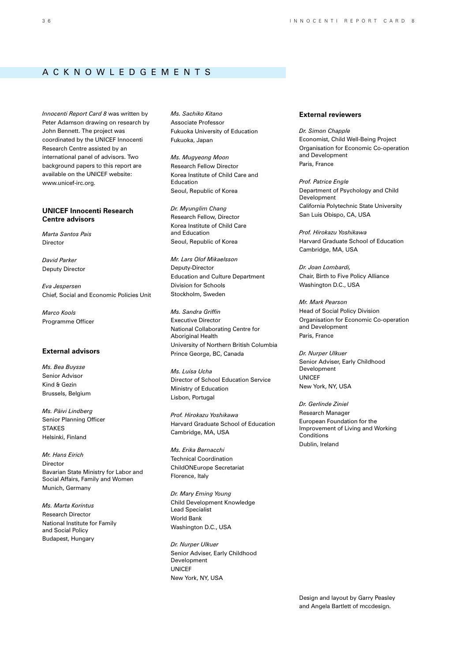# A cknow l edgements

*Innocenti Report Card 8* was written by Peter Adamson drawing on research by John Bennett. The project was coordinated by the UNICEF Innocenti Research Centre assisted by an international panel of advisors. Two background papers to this report are available on the UNICEF website: www.unicef-irc.org.

## **UNICEF Innocenti Research Centre advisors**

*Marta Santos Pais* Director

*David Parker* Deputy Director

*Eva Jespersen* Chief, Social and Economic Policies Unit

*Marco Kools* Programme Officer

## **External advisors**

*Ms. Bea Buysse* Senior Advisor Kind & Gezin Brussels, Belgium

*Ms. Päivi Lindberg* Senior Planning Officer **STAKES** Helsinki, Finland

*Mr. Hans Eirich*  Director Bavarian State Ministry for Labor and Social Affairs, Family and Women Munich, Germany

*Ms. Marta Korintus* Research Director National Institute for Family and Social Policy Budapest, Hungary

*Ms. Sachiko Kitano* Associate Professor Fukuoka University of Education Fukuoka, Japan

*Ms. Mugyeong Moon* Research Fellow Director Korea Institute of Child Care and Education Seoul, Republic of Korea

*Dr. Myunglim Chang* Research Fellow, Director Korea Institute of Child Care and Education Seoul, Republic of Korea

*Mr. Lars Olof Mikaelsson* Deputy-Director Education and Culture Department Division for Schools Stockholm, Sweden

*Ms. Sandra Griffin* Executive Director National Collaborating Centre for Aboriginal Health University of Northern British Columbia Prince George, BC, Canada

*Ms. Luísa Ucha*  Director of School Education Service Ministry of Education Lisbon, Portugal

*Prof. Hirokazu Yoshikawa*  Harvard Graduate School of Education Cambridge, MA, USA

*Ms. Erika Bernacchi* Technical Coordination ChildONEurope Secretariat Florence, Italy

*Dr. Mary Eming Young* Child Development Knowledge Lead Specialist World Bank Washington D.C., USA

*Dr. Nurper Ulkuer* Senior Adviser, Early Childhood Development **UNICEF** New York, NY, USA

## **External reviewers**

*Dr. Simon Chapple* Economist, Child Well-Being Project Organisation for Economic Co-operation and Development Paris, France

*Prof. Patrice Engle* Department of Psychology and Child **Development** California Polytechnic State University San Luis Obispo, CA, USA

*Prof. Hirokazu Yoshikawa*  Harvard Graduate School of Education Cambridge, MA, USA

*Dr. Joan Lombardi,*  Chair, Birth to Five Policy Alliance Washington D.C., USA

*Mr. Mark Pearson* Head of Social Policy Division Organisation for Economic Co-operation and Development Paris, France

*Dr. Nurper Ulkuer* Senior Adviser, Early Childhood Development UNICEF New York, NY, USA

*Dr. Gerlinde Ziniel* Research Manager European Foundation for the Improvement of Living and Working Conditions Dublin, Ireland

Design and layout by Garry Peasley and Angela Bartlett of mccdesign.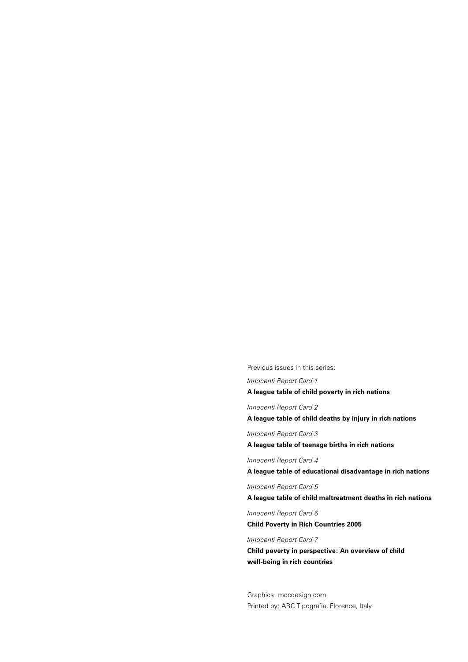Previous issues in this series:

*Innocenti Report Card 1*

**A league table of child poverty in rich nations**

*Innocenti Report Card 2*

**A league table of child deaths by injury in rich nations**

*Innocenti Report Card 3*

**A league table of teenage births in rich nations**

*Innocenti Report Card 4*

**A league table of educational disadvantage in rich nations**

*Innocenti Report Card 5*

**A league table of child maltreatment deaths in rich nations**

*Innocenti Report Card 6* **Child Poverty in Rich Countries 2005**

## *Innocenti Report Card 7*

**Child poverty in perspective: An overview of child well-being in rich countries**

Graphics: mccdesign.com Printed by: ABC Tipografia, Florence, Italy